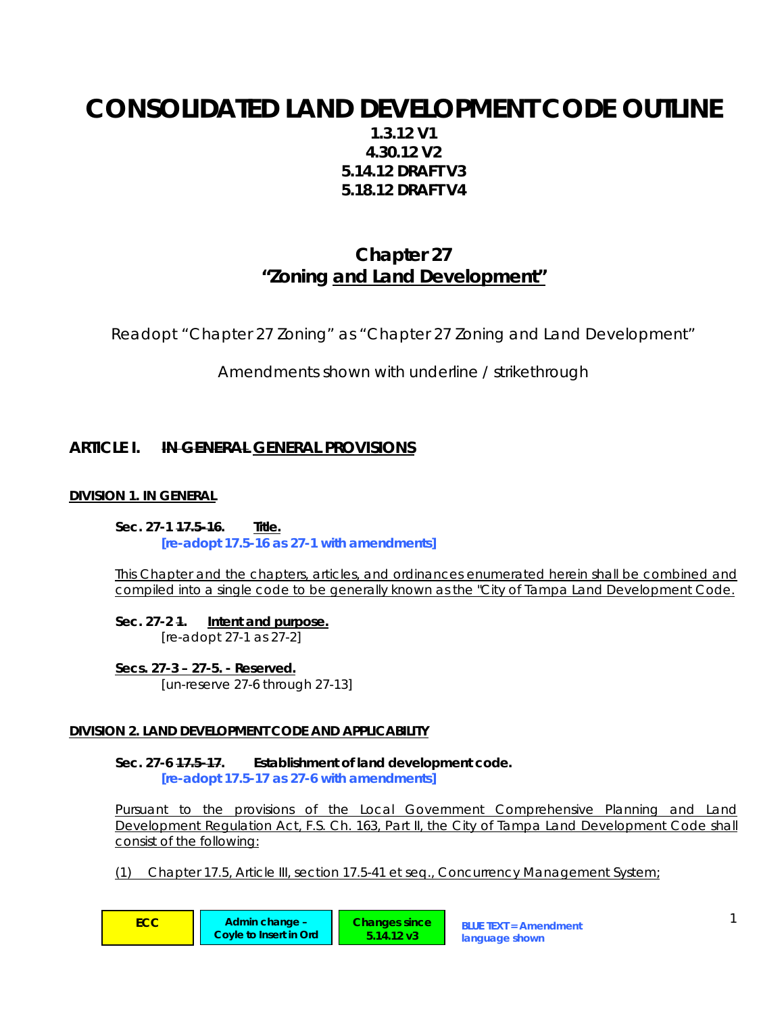# **CONSOLIDATED LAND DEVELOPMENT CODE OUTLINE**

**1.3.12 V1 4.30.12 V2 5.14.12 DRAFT V3 5.18.12 DRAFT V4** 

# **Chapter 27 "Zoning and Land Development"**

Readopt "Chapter 27 Zoning" as "Chapter 27 Zoning and Land Development"

Amendments shown with underline / strikethrough

# **ARTICLE I. IN GENERAL GENERAL PROVISIONS**

# **DIVISION 1. IN GENERAL**

**Sec. 27-1 17.5-16. Title.**  *[re-adopt 17.5-16 as 27-1 with amendments]* 

This Chapter and the chapters, articles, and ordinances enumerated herein shall be combined and compiled into a single code to be generally known as the "City of Tampa Land Development Code.

**Sec. 27-2 1. Intent and purpose.** *[re-adopt 27-1 as 27-2]* 

**Secs. 27-3 – 27-5. - Reserved.** *[un-reserve 27-6 through 27-13]* 

## **DIVISION 2. LAND DEVELOPMENT CODE AND APPLICABILITY**

**Sec. 27-6 17.5-17. Establishment of land development code.**  *[re-adopt 17.5-17 as 27-6 with amendments]* 

Pursuant to the provisions of the Local Government Comprehensive Planning and Land Development Regulation Act, F.S. Ch. 163, Part II, the City of Tampa Land Development Code shall consist of the following:

(1) Chapter 17.5, Article III, section 17.5-41 et seq., Concurrency Management System;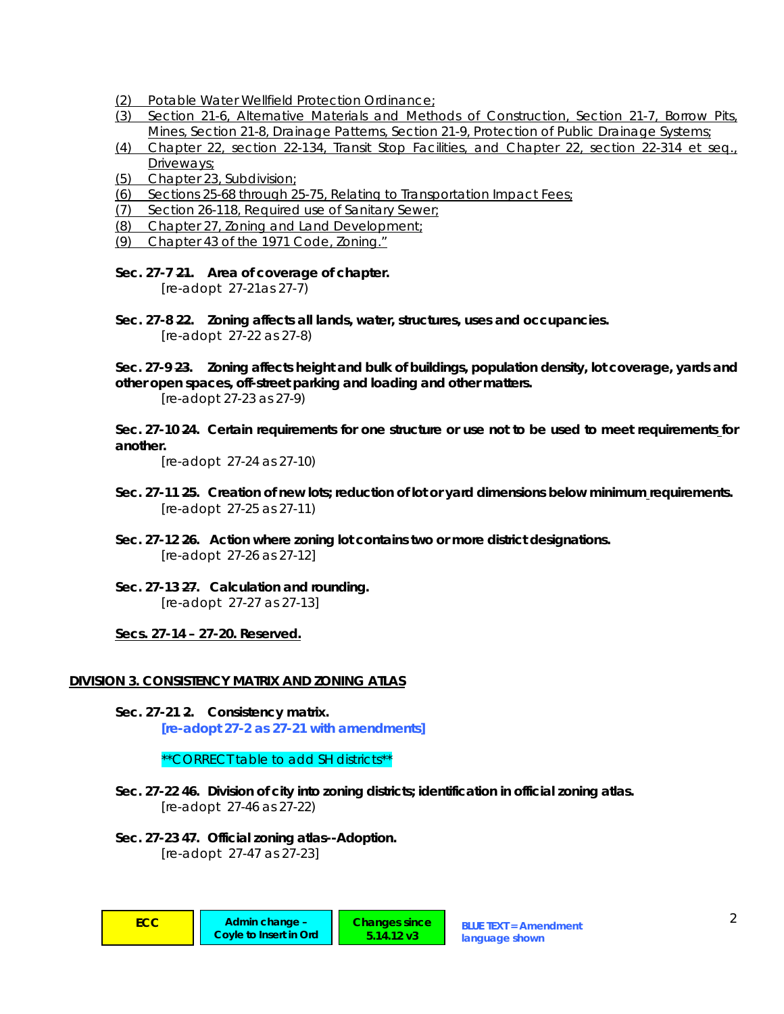- (2) Potable Water Wellfield Protection Ordinance;
- (3) Section 21-6, Alternative Materials and Methods of Construction, Section 21-7, Borrow Pits, Mines, Section 21-8, Drainage Patterns, Section 21-9, Protection of Public Drainage Systems;
- (4) Chapter 22, section 22-134, Transit Stop Facilities, and Chapter 22, section 22-314 et seq., Driveways;
- (5) Chapter 23, Subdivision;
- (6) Sections 25-68 through 25-75, Relating to Transportation Impact Fees;
- (7) Section 26-118, Required use of Sanitary Sewer;
- (8) Chapter 27, Zoning and Land Development;
- (9) Chapter 43 of the 1971 Code, Zoning."

#### **Sec. 27-7 21. Area of coverage of chapter.**

*[re-adopt 27-21as 27-7)* 

**Sec. 27-8 22. Zoning affects all lands, water, structures, uses and occupancies.**  *[re-adopt 27-22 as 27-8)* 

**Sec. 27-9 23. Zoning affects height and bulk of buildings, population density, lot coverage, yards and other open spaces, off-street parking and loading and other matters.** 

*[re-adopt 27-23 as 27-9)* 

**Sec. 27-10 24. Certain requirements for one structure or use not to be used to meet requirements for another.** 

*[re-adopt 27-24 as 27-10)* 

- **Sec. 27-11 25. Creation of new lots; reduction of lot or yard dimensions below minimum requirements.**  *[re-adopt 27-25 as 27-11)*
- **Sec. 27-12 26. Action where zoning lot contains two or more district designations.**  *[re-adopt 27-26 as 27-12]*
- **Sec. 27-13 27. Calculation and rounding.**  *[re-adopt 27-27 as 27-13]*

**Secs. 27-14 – 27-20. Reserved.**

## **DIVISION 3. CONSISTENCY MATRIX AND ZONING ATLAS**

**Sec. 27-21 2. Consistency matrix.**  *[re-adopt 27-2 as 27-21 with amendments]* 

*\*\*CORRECT table to add SH districts\*\** 

**Sec. 27-22 46. Division of city into zoning districts; identification in official zoning atlas.**  *[re-adopt 27-46 as 27-22)* 

> **Changes since 5.14.12 v3**

**Sec. 27-23 47. Official zoning atlas--Adoption.**  *[re-adopt 27-47 as 27-23]*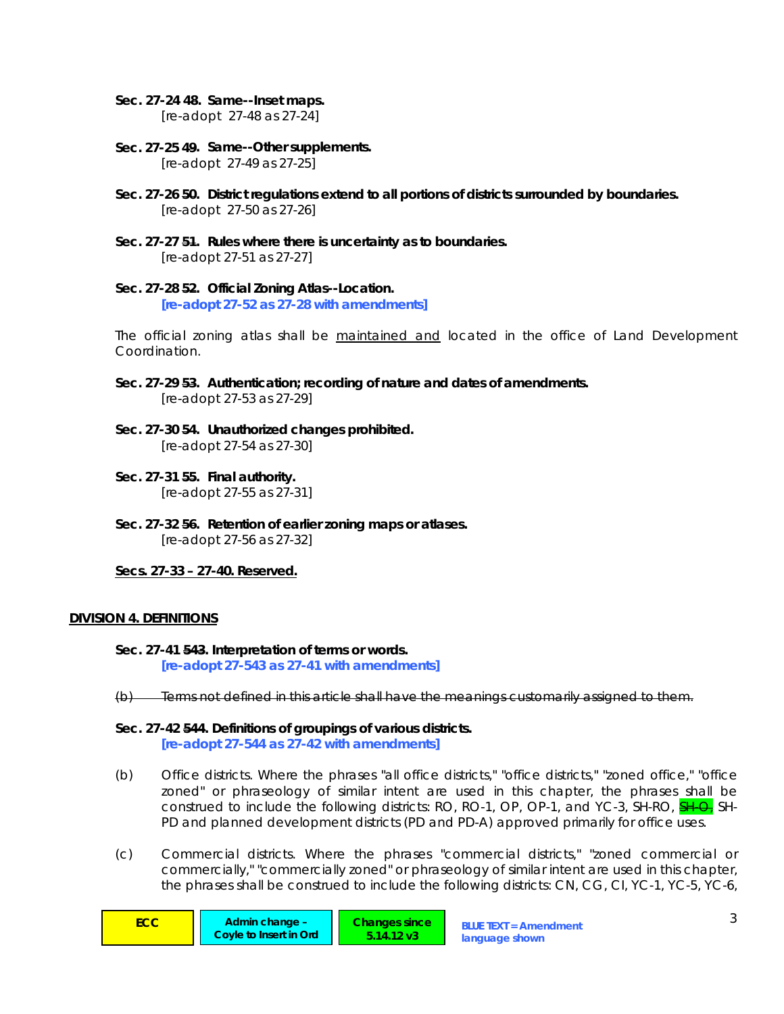#### **Sec. 27-24 48. Same--Inset maps.**

*[re-adopt 27-48 as 27-24]* 

- **Sec. 27-25 49. Same--Other supplements.**  *[re-adopt 27-49 as 27-25]*
- **Sec. 27-26 50. District regulations extend to all portions of districts surrounded by boundaries.**  *[re-adopt 27-50 as 27-26]*
- **Sec. 27-27 51. Rules where there is uncertainty as to boundaries.**  *[re-adopt 27-51 as 27-27]*
- **Sec. 27-28 52. Official Zoning Atlas--Location.**  *[re-adopt 27-52 as 27-28 with amendments]*

The official zoning atlas shall be maintained and located in the office of Land Development Coordination.

- **Sec. 27-29 53. Authentication; recording of nature and dates of amendments.**  *[re-adopt 27-53 as 27-29]*
- **Sec. 27-30 54. Unauthorized changes prohibited.**  *[re-adopt 27-54 as 27-30]*
- **Sec. 27-31 55. Final authority.**  *[re-adopt 27-55 as 27-31]*
- **Sec. 27-32 56. Retention of earlier zoning maps or atlases.**  *[re-adopt 27-56 as 27-32]*

#### **Secs. 27-33 – 27-40. Reserved.**

#### **DIVISION 4. DEFINITIONS**

- **Sec. 27-41 543. Interpretation of terms or words.**   *[re-adopt 27-543 as 27-41 with amendments]*
- (b) Terms not defined in this article shall have the meanings customarily assigned to them.

## **Sec. 27-42 544. Definitions of groupings of various districts.**

 *[re-adopt 27-544 as 27-42 with amendments]* 

- (b) *Office districts.* Where the phrases "all office districts," "office districts," "zoned office," "office zoned" or phraseology of similar intent are used in this chapter, the phrases shall be construed to include the following districts: RO, RO-1, OP, OP-1, and YC-3, SH-RO, **SH-Q**, SH-PD and planned development districts (PD and PD-A) approved primarily for office uses.
- (c) *Commercial districts.* Where the phrases "commercial districts," "zoned commercial or commercially," "commercially zoned" or phraseology of similar intent are used in this chapter, the phrases shall be construed to include the following districts: CN, CG, CI, YC-1, YC-5, YC-6,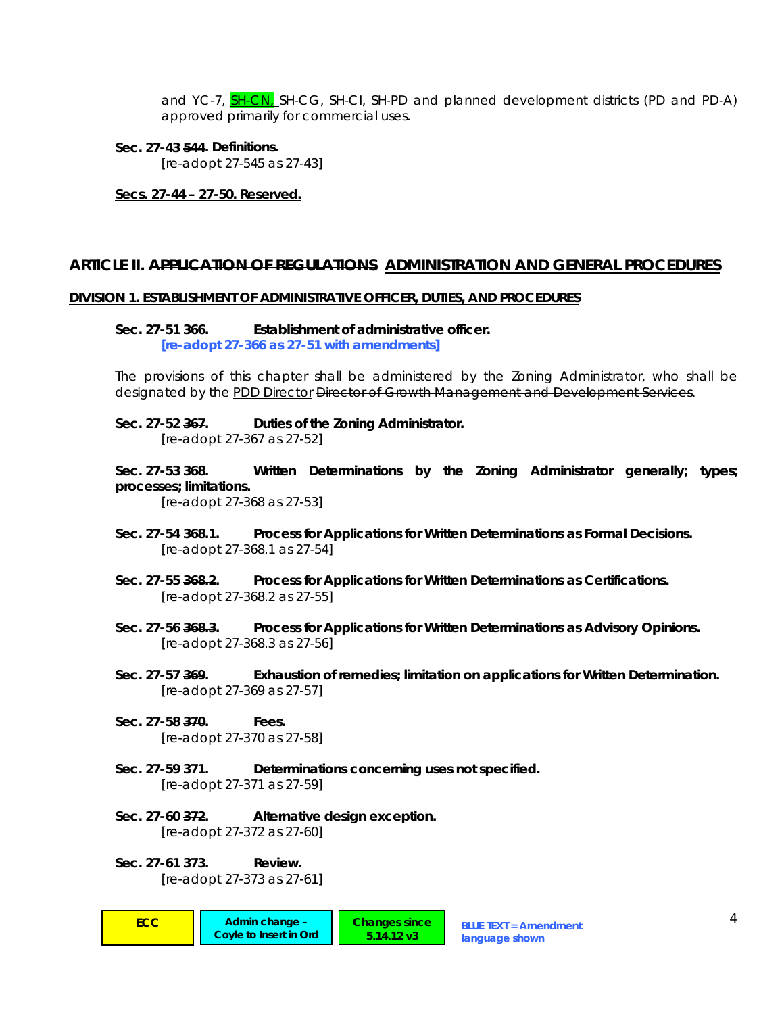and YC-7, **SH-CN**, SH-CG, SH-CI, SH-PD and planned development districts (PD and PD-A) approved primarily for commercial uses.

**Sec. 27-43 544. Definitions.**   *[re-adopt 27-545 as 27-43]* 

**Secs. 27-44 – 27-50. Reserved.**

## **ARTICLE II. APPLICATION OF REGULATIONS ADMINISTRATION AND GENERAL PROCEDURES**

#### **DIVISION 1. ESTABLISHMENT OF ADMINISTRATIVE OFFICER, DUTIES, AND PROCEDURES**

**Sec. 27-51 366. Establishment of administrative officer.**   *[re-adopt 27-366 as 27-51 with amendments]* 

The provisions of this chapter shall be administered by the Zoning Administrator, who shall be designated by the PDD Director <del>Director of Growth Management and Development Services</del>.

**Sec. 27-52 367. Duties of the Zoning Administrator.**   *[re-adopt 27-367 as 27-52]* 

**Sec. 27-53 368. Written Determinations by the Zoning Administrator generally; types; processes; limitations.** 

 *[re-adopt 27-368 as 27-53]* 

- **Sec. 27-54 368.1. Process for Applications for Written Determinations as Formal Decisions.**   *[re-adopt 27-368.1 as 27-54]*
- **Sec. 27-55 368.2. Process for Applications for Written Determinations as Certifications.**   *[re-adopt 27-368.2 as 27-55]*
- **Sec. 27-56 368.3. Process for Applications for Written Determinations as Advisory Opinions.**   *[re-adopt 27-368.3 as 27-56]*
- **Sec. 27-57 369. Exhaustion of remedies; limitation on applications for Written Determination.**   *[re-adopt 27-369 as 27-57]*
- **Sec. 27-58 370. Fees.**   *[re-adopt 27-370 as 27-58]*
- **Sec. 27-59 371. Determinations concerning uses not specified.**   *[re-adopt 27-371 as 27-59]*
- **Sec. 27-60 372. Alternative design exception.**   *[re-adopt 27-372 as 27-60]*
- **Sec. 27-61 373. Review.**   *[re-adopt 27-373 as 27-61]*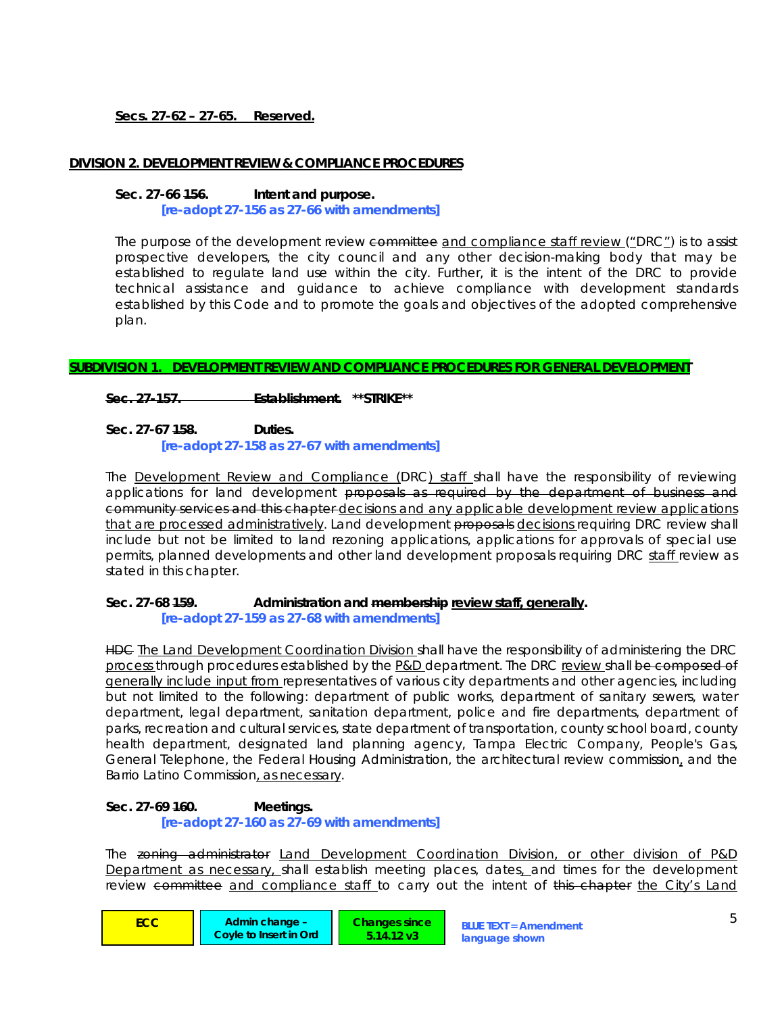# **Secs. 27-62 – 27-65. Reserved.**

### **DIVISION 2. DEVELOPMENT REVIEW & COMPLIANCE PROCEDURES**

#### **Sec. 27-66 156. Intent and purpose.**

 *[re-adopt 27-156 as 27-66 with amendments]* 

The purpose of the development review committee and compliance staff review ("DRC") is to assist prospective developers, the city council and any other decision-making body that may be established to regulate land use within the city. Further, it is the intent of the DRC to provide technical assistance and guidance to achieve compliance with development standards established by this Code and to promote the goals and objectives of the adopted comprehensive plan.

## **SUBDIVISION 1. DEVELOPMENT REVIEW AND COMPLIANCE PROCEDURES FOR GENERAL DEVELOPMENT**

**Sec. 27-157. Establishment. \*\*STRIKE\*\*** 

#### **Sec. 27-67 158. Duties.**   *[re-adopt 27-158 as 27-67 with amendments]*

The **Development Review and Compliance (DRC) staff** shall have the responsibility of reviewing applications for land development proposals as required by the department of business and community services and this chapter decisions and any applicable development review applications that are processed administratively. Land development proposals decisions requiring DRC review shall include but not be limited to land rezoning applications, applications for approvals of special use permits, planned developments and other land development proposals requiring DRC staff review as stated in this chapter.

# **Sec. 27-68 159. Administration and membership review staff, generally.**

 *[re-adopt 27-159 as 27-68 with amendments]* 

HDG The Land Development Coordination Division shall have the responsibility of administering the DRC process through procedures established by the P&D department. The DRC review shall be composed of generally include input from representatives of various city departments and other agencies, including but not limited to the following: department of public works, department of sanitary sewers, water department, legal department, sanitation department, police and fire departments, department of parks, recreation and cultural services, state department of transportation, county school board, county health department, designated land planning agency, Tampa Electric Company, People's Gas, General Telephone, the Federal Housing Administration, the architectural review commission, and the Barrio Latino Commission, as necessary.

#### **Sec. 27-69 160. Meetings.**   *[re-adopt 27-160 as 27-69 with amendments]*

The zoning administrator Land Development Coordination Division, or other division of P&D Department as necessary, shall establish meeting places, dates, and times for the development review committee and compliance staff to carry out the intent of this chapter the City's Land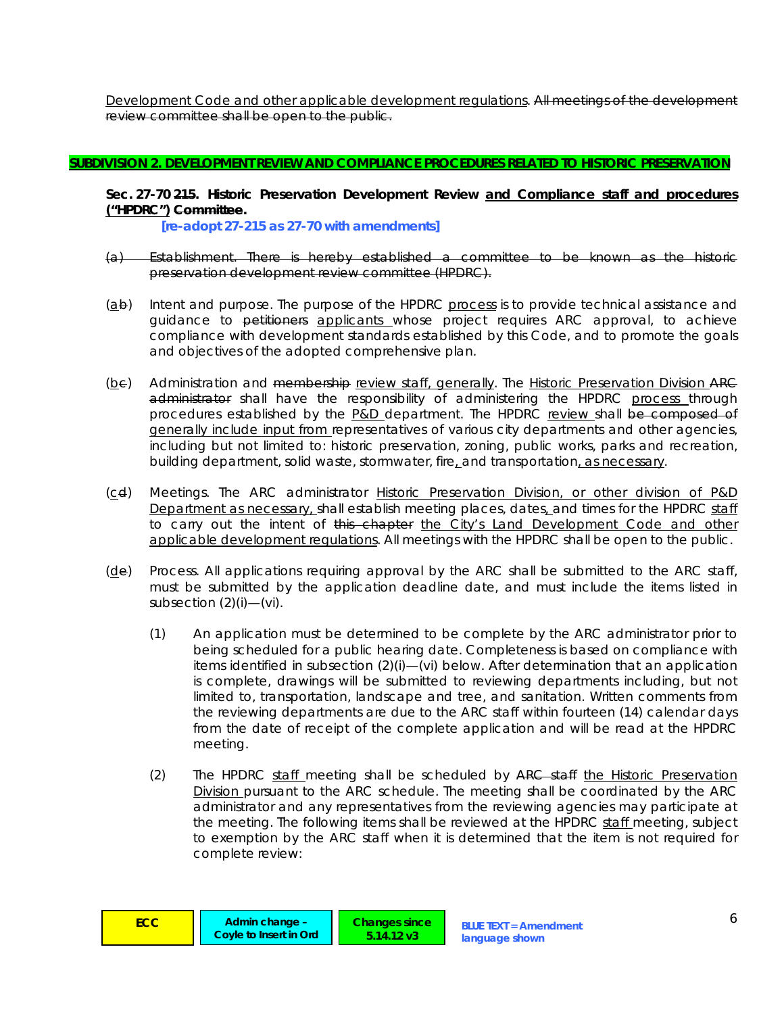Development Code and other applicable development regulations. All meetings of the development review committee shall be open to the public.

## **SUBDIVISION 2. DEVELOPMENT REVIEW AND COMPLIANCE PROCEDURES RELATED TO HISTORIC PRESERVATION**

**Sec. 27-70 215. Historic Preservation Development Review and Compliance staff and procedures ("HPDRC") Committee.** 

 *[re-adopt 27-215 as 27-70 with amendments]* 

- (a) *Establishment.* There is hereby established a committee to be known as the historic preservation development review committee (HPDRC).
- (ab) *Intent and purpose.* The purpose of the HPDRC process is to provide technical assistance and guidance to petitioners applicants whose project requires ARC approval, to achieve compliance with development standards established by this Code, and to promote the goals and objectives of the adopted comprehensive plan.
- (bc) *Administration and membership review staff, generally.* The Historic Preservation Division ARC administrator shall have the responsibility of administering the HPDRC process through procedures established by the P&D department. The HPDRC review shall be composed of generally include input from representatives of various city departments and other agencies, including but not limited to: historic preservation, zoning, public works, parks and recreation, building department, solid waste, stormwater, fire, and transportation, as necessary.
- (cd) *Meetings.* The ARC administrator Historic Preservation Division, or other division of P&D Department as necessary, shall establish meeting places, dates, and times for the HPDRC staff to carry out the intent of this chapter the City's Land Development Code and other applicable development regulations. All meetings with the HPDRC shall be open to the public.
- (de) *Process.* All applications requiring approval by the ARC shall be submitted to the ARC staff, must be submitted by the application deadline date, and must include the items listed in subsection  $(2)(i)$ — $(vi)$ .
	- (1) An application must be determined to be complete by the ARC administrator prior to being scheduled for a public hearing date. Completeness is based on compliance with items identified in subsection (2)(i)—(vi) below. After determination that an application is complete, drawings will be submitted to reviewing departments including, but not limited to, transportation, landscape and tree, and sanitation. Written comments from the reviewing departments are due to the ARC staff within fourteen (14) calendar days from the date of receipt of the complete application and will be read at the HPDRC meeting.
	- (2) The HPDRC staff meeting shall be scheduled by ARC staff the Historic Preservation Division pursuant to the ARC schedule. The meeting shall be coordinated by the ARC administrator and any representatives from the reviewing agencies may participate at the meeting. The following items shall be reviewed at the HPDRC staff meeting, subject to exemption by the ARC staff when it is determined that the item is not required for complete review:

**Changes since 5.14.12 v3**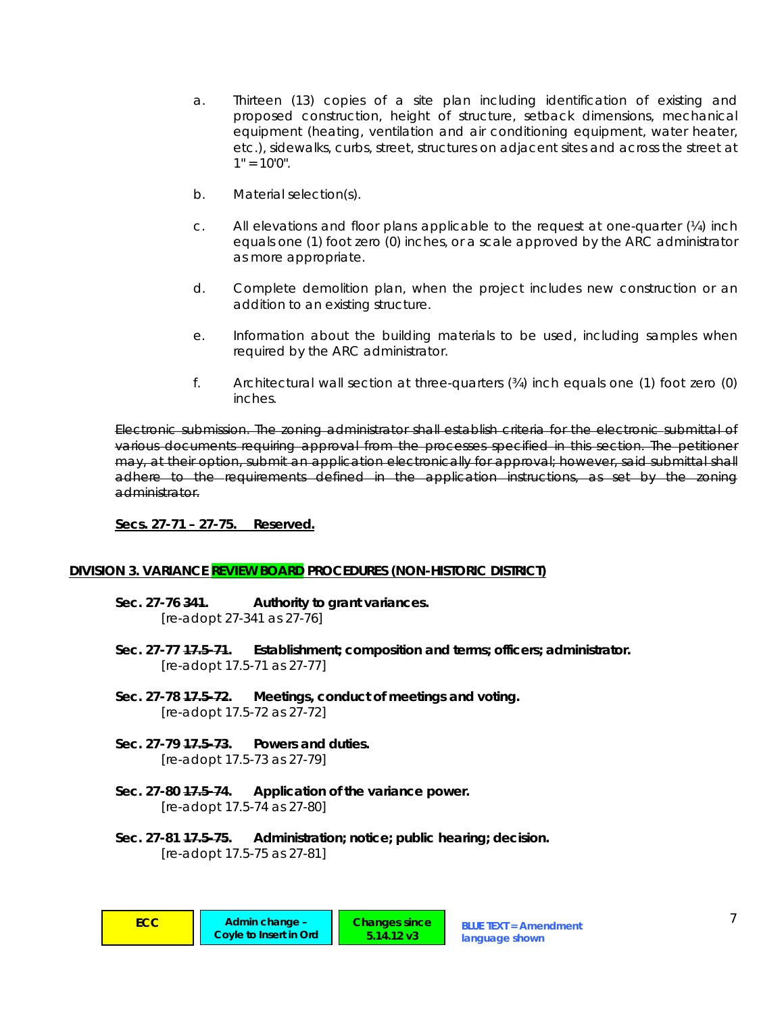- a. Thirteen (13) copies of a site plan including identification of existing and proposed construction, height of structure, setback dimensions, mechanical equipment (heating, ventilation and air conditioning equipment, water heater, etc.), sidewalks, curbs, street, structures on adjacent sites and across the street at  $1" = 10'0".$
- b. Material selection(s).
- c. All elevations and floor plans applicable to the request at one-quarter  $(V_4)$  inch equals one (1) foot zero (0) inches, or a scale approved by the ARC administrator as more appropriate.
- d. Complete demolition plan, when the project includes new construction or an addition to an existing structure.
- e. Information about the building materials to be used, including samples when required by the ARC administrator.
- f. Architectural wall section at three-quarters (¾) inch equals one (1) foot zero (0) inches.

*Electronic submission.* The zoning administrator shall establish criteria for the electronic submittal of various documents requiring approval from the processes specified in this section. The petitioner may, at their option, submit an application electronically for approval; however, said submittal shall adhere to the requirements defined in the application instructions, as set by the zoning administrator.

**Secs. 27-71 – 27-75. Reserved.**

## **DIVISION 3. VARIANCE REVIEW BOARD PROCEDURES (NON-HISTORIC DISTRICT)**

- **Sec. 27-76 341. Authority to grant variances.**   *[re-adopt 27-341 as 27-76]*
- **Sec. 27-77 17.5-71. Establishment; composition and terms; officers; administrator.**   *[re-adopt 17.5-71 as 27-77]*

**Changes since 5.14.12 v3**

- **Sec. 27-78 17.5-72. Meetings, conduct of meetings and voting.**   *[re-adopt 17.5-72 as 27-72]*
- **Sec. 27-79 17.5-73. Powers and duties.**   *[re-adopt 17.5-73 as 27-79]*
- **Sec. 27-80 17.5-74. Application of the variance power.**   *[re-adopt 17.5-74 as 27-80]*
- **Sec. 27-81 17.5-75. Administration; notice; public hearing; decision.**   *[re-adopt 17.5-75 as 27-81]*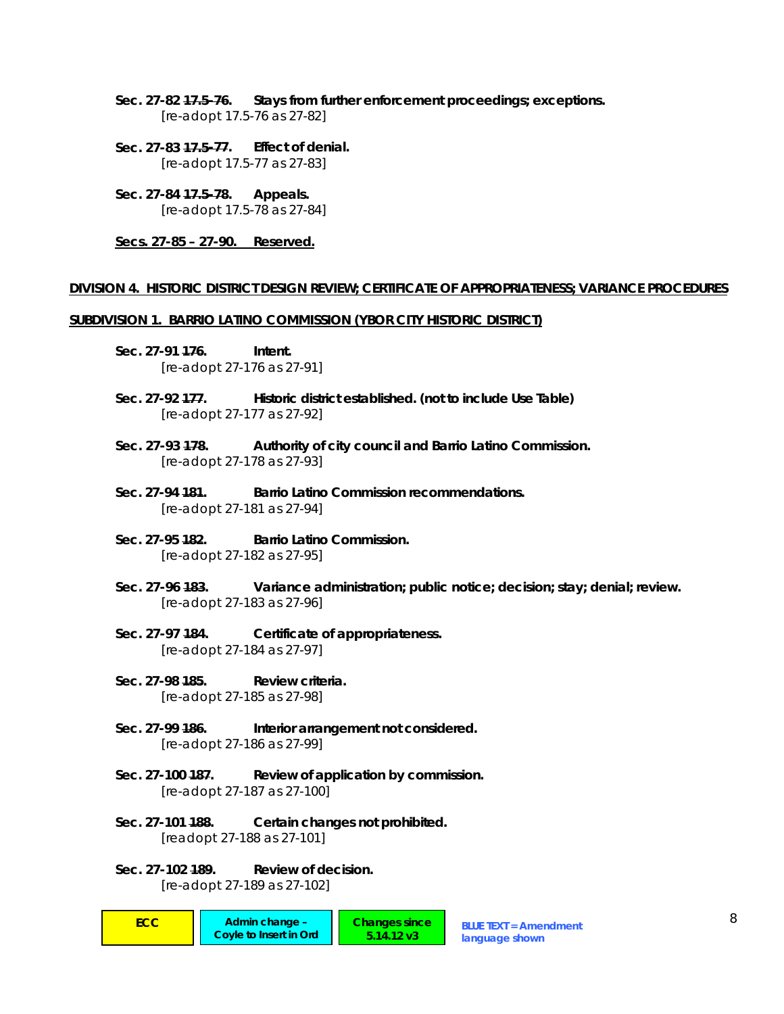- **Sec. 27-82 17.5-76. Stays from further enforcement proceedings; exceptions.**   *[re-adopt 17.5-76 as 27-82]*
- **Sec. 27-83 17.5-77. Effect of denial.**   *[re-adopt 17.5-77 as 27-83]*
- **Sec. 27-84 17.5-78. Appeals.**   *[re-adopt 17.5-78 as 27-84]*

**Secs. 27-85 – 27-90. Reserved.**

#### **DIVISION 4. HISTORIC DISTRICT DESIGN REVIEW; CERTIFICATE OF APPROPRIATENESS; VARIANCE PROCEDURES**

#### **SUBDIVISION 1. BARRIO LATINO COMMISSION (YBOR CITY HISTORIC DISTRICT)**

- **Sec. 27-91 176. Intent.**   *[re-adopt 27-176 as 27-91]*
- **Sec. 27-92 177. Historic district established. (not to include Use Table)**   *[re-adopt 27-177 as 27-92]*
- **Sec. 27-93 178. Authority of city council and Barrio Latino Commission.**   *[re-adopt 27-178 as 27-93]*
- **Sec. 27-94 181. Barrio Latino Commission recommendations.**   *[re-adopt 27-181 as 27-94]*
- **Sec. 27-95 182. Barrio Latino Commission.**   *[re-adopt 27-182 as 27-95]*
- **Sec. 27-96 183. Variance administration; public notice; decision; stay; denial; review.**   *[re-adopt 27-183 as 27-96]*
- **Sec. 27-97 184. Certificate of appropriateness.**   *[re-adopt 27-184 as 27-97]*
- **Sec. 27-98 185. Review criteria.**   *[re-adopt 27-185 as 27-98]*
- Sec. 27-99 <del>186</del>. **Interior arrangement not considered.**  *[re-adopt 27-186 as 27-99]*
- **Sec. 27-100 187. Review of application by commission.**   *[re-adopt 27-187 as 27-100]*
- **Sec. 27-101 188. Certain changes not prohibited.**   *[readopt 27-188 as 27-101]*
- **Sec. 27-102 189. Review of decision.**   *[re-adopt 27-189 as 27-102]*
- **ECC Admin change Changes since BLUE TEXT = Amendment 6 American Contract Contract Contract Contract Contract Contract Contract Contract Contract Contract Contract Contract Contract Contract Contract Contract Contract Co Coyle to Insert in Ord Changes since 5.14.12 v3**

**language shown**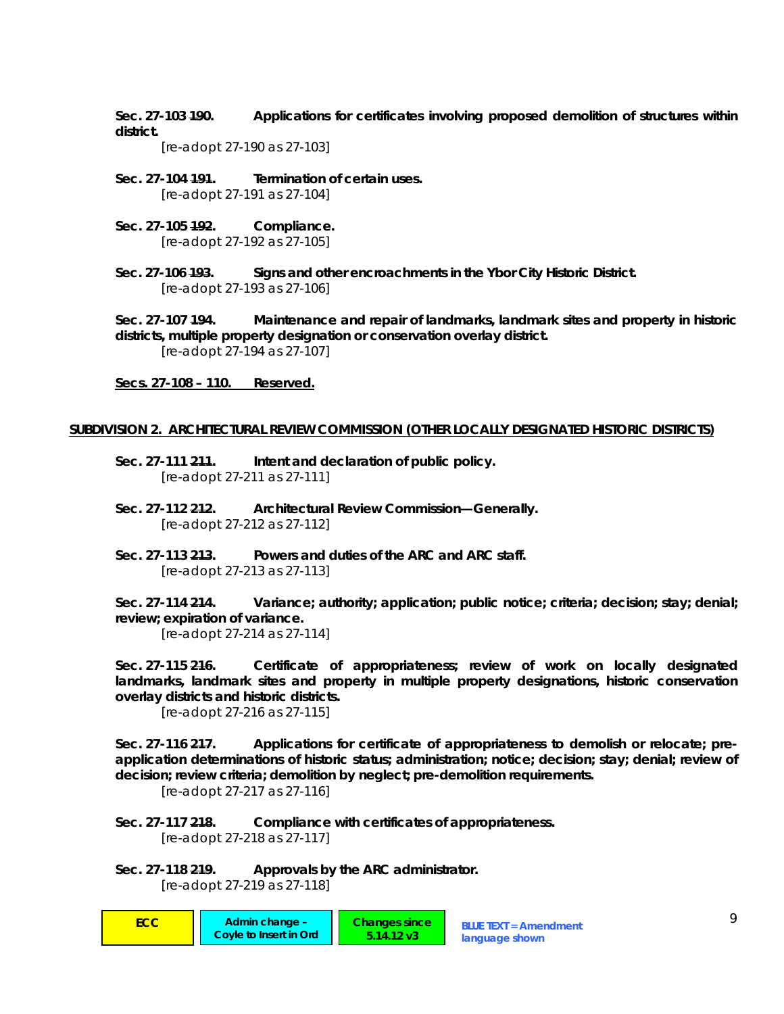**Sec. 27-103 190. Applications for certificates involving proposed demolition of structures within district.** 

 *[re-adopt 27-190 as 27-103]* 

- **Sec. 27-104 191. Termination of certain uses.**   *[re-adopt 27-191 as 27-104]*
- **Sec. 27-105 192. Compliance.**   *[re-adopt 27-192 as 27-105]*
- **Sec. 27-106 193. Signs and other encroachments in the Ybor City Historic District.**   *[re-adopt 27-193 as 27-106]*

**Sec. 27-107 194. Maintenance and repair of landmarks, landmark sites and property in historic districts, multiple property designation or conservation overlay district.**   *[re-adopt 27-194 as 27-107]* 

**Secs. 27-108 – 110. Reserved.**

## **SUBDIVISION 2. ARCHITECTURAL REVIEW COMMISSION (OTHER LOCALLY DESIGNATED HISTORIC DISTRICTS)**

- **Sec. 27-111 211. Intent and declaration of public policy.**   *[re-adopt 27-211 as 27-111]*
- **Sec. 27-112 212. Architectural Review Commission—Generally.**   *[re-adopt 27-212 as 27-112]*
- **Sec. 27-113 213. Powers and duties of the ARC and ARC staff.**   *[re-adopt 27-213 as 27-113]*

**Sec. 27-114 214. Variance; authority; application; public notice; criteria; decision; stay; denial; review; expiration of variance.** 

 *[re-adopt 27-214 as 27-114]* 

**Sec. 27-115 216. Certificate of appropriateness; review of work on locally designated landmarks, landmark sites and property in multiple property designations, historic conservation overlay districts and historic districts.** 

 *[re-adopt 27-216 as 27-115]* 

Sec. 27-116 247. Applications for certificate of appropriateness to demolish or relocate; pre**application determinations of historic status; administration; notice; decision; stay; denial; review of decision; review criteria; demolition by neglect; pre-demolition requirements.** 

 *[re-adopt 27-217 as 27-116]* 

**Sec. 27-117 218. Compliance with certificates of appropriateness.**   *[re-adopt 27-218 as 27-117]* 

**Sec. 27-118 219. Approvals by the ARC administrator.**   *[re-adopt 27-219 as 27-118]*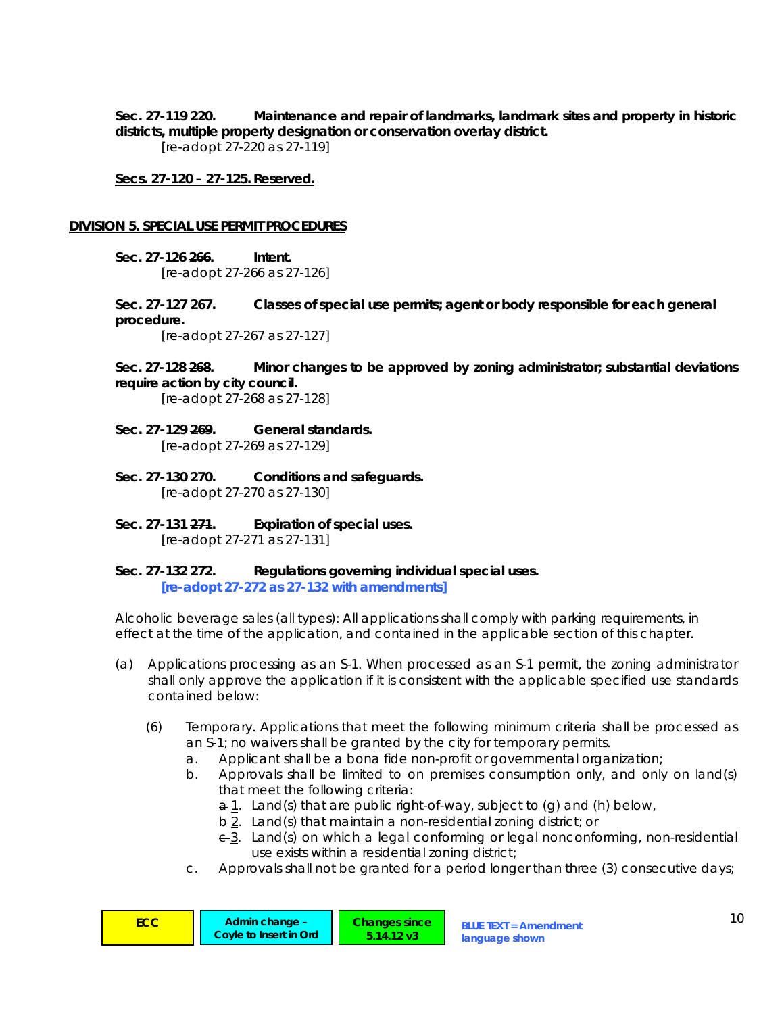**Sec. 27-119 220. Maintenance and repair of landmarks, landmark sites and property in historic districts, multiple property designation or conservation overlay district.** 

 *[re-adopt 27-220 as 27-119]* 

**Secs. 27-120 – 27-125. Reserved.**

### **DIVISION 5. SPECIAL USE PERMIT PROCEDURES**

**Sec. 27-126 266. Intent.**   *[re-adopt 27-266 as 27-126]* 

**Sec. 27-127 267. Classes of special use permits; agent or body responsible for each general procedure.** 

 *[re-adopt 27-267 as 27-127]* 

**Sec. 27-128 268. Minor changes to be approved by zoning administrator; substantial deviations require action by city council.** 

 *[re-adopt 27-268 as 27-128]* 

- **Sec. 27-129 269. General standards.**   *[re-adopt 27-269 as 27-129]*
- **Sec. 27-130 270. Conditions and safeguards.**   *[re-adopt 27-270 as 27-130]*
- **Sec. 27-131 271. Expiration of special uses.**   *[re-adopt 27-271 as 27-131]*
- **Sec. 27-132 272. Regulations governing individual special uses.**   *[re-adopt 27-272 as 27-132 with amendments]*

*Alcoholic beverage sales (all types):* All applications shall comply with parking requirements, in effect at the time of the application, and contained in the applicable section of this chapter.

- (a) *Applications processing as an S-1.* When processed as an S-1 permit, the zoning administrator shall only approve the application if it is consistent with the applicable specified use standards contained below:
	- (6) *Temporary.* Applications that meet the following minimum criteria shall be processed as an S-1; no waivers shall be granted by the city for temporary permits.
		- a. Applicant shall be a bona fide non-profit or governmental organization;
		- b. Approvals shall be limited to on premises consumption only, and only on land(s) that meet the following criteria:
			- a 1. Land(s) that are public right-of-way, subject to (g) and (h) below,
			- b 2. Land(s) that maintain a non-residential zoning district; or
			- c 3. Land(s) on which a legal conforming or legal nonconforming, non-residential use exists within a residential zoning district;
		- c. Approvals shall not be granted for a period longer than three (3) consecutive days;

| ECC | Admin change -<br>Coyle to Insert in Ord | <b>Changes since</b><br>5.14.12 v3 | <b>BLUE TEXT = Amendment</b><br>language shown |  |
|-----|------------------------------------------|------------------------------------|------------------------------------------------|--|
|-----|------------------------------------------|------------------------------------|------------------------------------------------|--|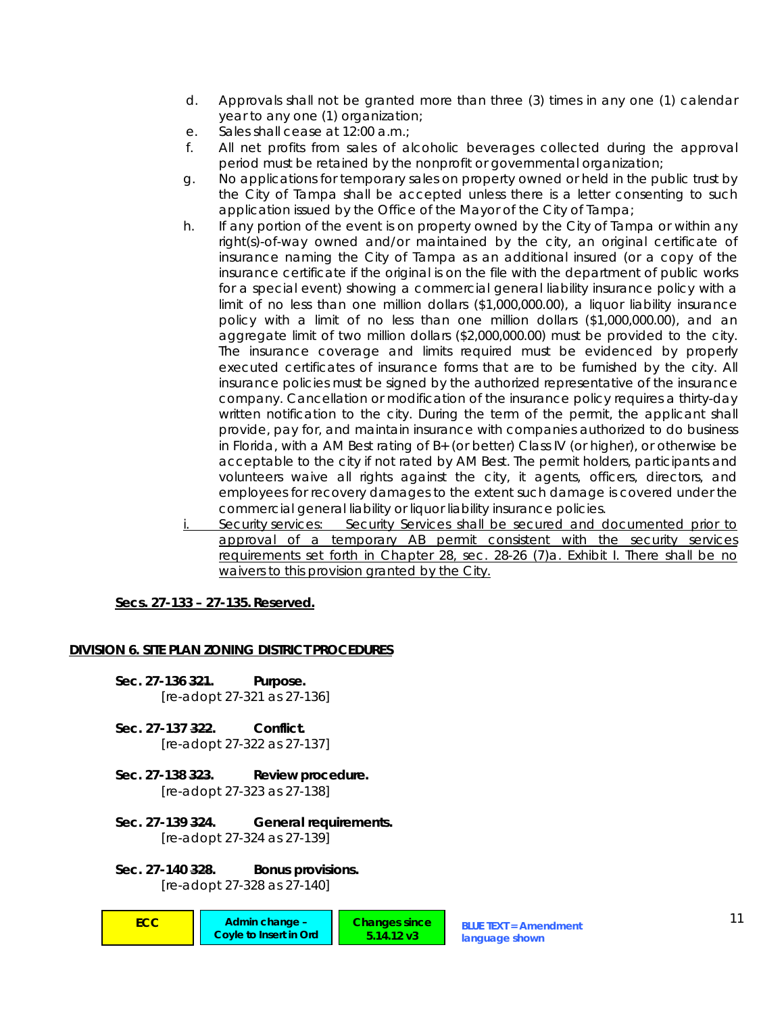- d. Approvals shall not be granted more than three (3) times in any one (1) calendar year to any one (1) organization;
- e. Sales shall cease at 12:00 a.m.;
- f. All net profits from sales of alcoholic beverages collected during the approval period must be retained by the nonprofit or governmental organization;
- g. No applications for temporary sales on property owned or held in the public trust by the City of Tampa shall be accepted unless there is a letter consenting to such application issued by the Office of the Mayor of the City of Tampa;
- h. If any portion of the event is on property owned by the City of Tampa or within any right(s)-of-way owned and/or maintained by the city, an original certificate of insurance naming the City of Tampa as an additional insured (or a copy of the insurance certificate if the original is on the file with the department of public works for a special event) showing a commercial general liability insurance policy with a limit of no less than one million dollars (\$1,000,000.00), a liquor liability insurance policy with a limit of no less than one million dollars (\$1,000,000.00), and an aggregate limit of two million dollars (\$2,000,000.00) must be provided to the city. The insurance coverage and limits required must be evidenced by properly executed certificates of insurance forms that are to be furnished by the city. All insurance policies must be signed by the authorized representative of the insurance company. Cancellation or modification of the insurance policy requires a thirty-day written notification to the city. During the term of the permit, the applicant shall provide, pay for, and maintain insurance with companies authorized to do business in Florida, with a AM Best rating of B+ (or better) Class IV (or higher), or otherwise be acceptable to the city if not rated by AM Best. The permit holders, participants and volunteers waive all rights against the city, it agents, officers, directors, and employees for recovery damages to the extent such damage is covered under the commercial general liability or liquor liability insurance policies.
- i. *Security services:* Security Services shall be secured and documented prior to approval of a temporary AB permit consistent with the security services requirements set forth in Chapter 28, sec. 28-26 (7)a. Exhibit I. There shall be no waivers to this provision granted by the City.

# **Secs. 27-133 – 27-135. Reserved.**

# **DIVISION 6. SITE PLAN ZONING DISTRICT PROCEDURES**

- **Sec. 27-136 321. Purpose.**   *[re-adopt 27-321 as 27-136]*
- **Sec. 27-137 322. Conflict.**   *[re-adopt 27-322 as 27-137]*
- **Sec. 27-138 323. Review procedure.**   *[re-adopt 27-323 as 27-138]*
- **Sec. 27-139 324. General requirements.**   *[re-adopt 27-324 as 27-139]*
- **Sec. 27-140 328. Bonus provisions.**   *[re-adopt 27-328 as 27-140]*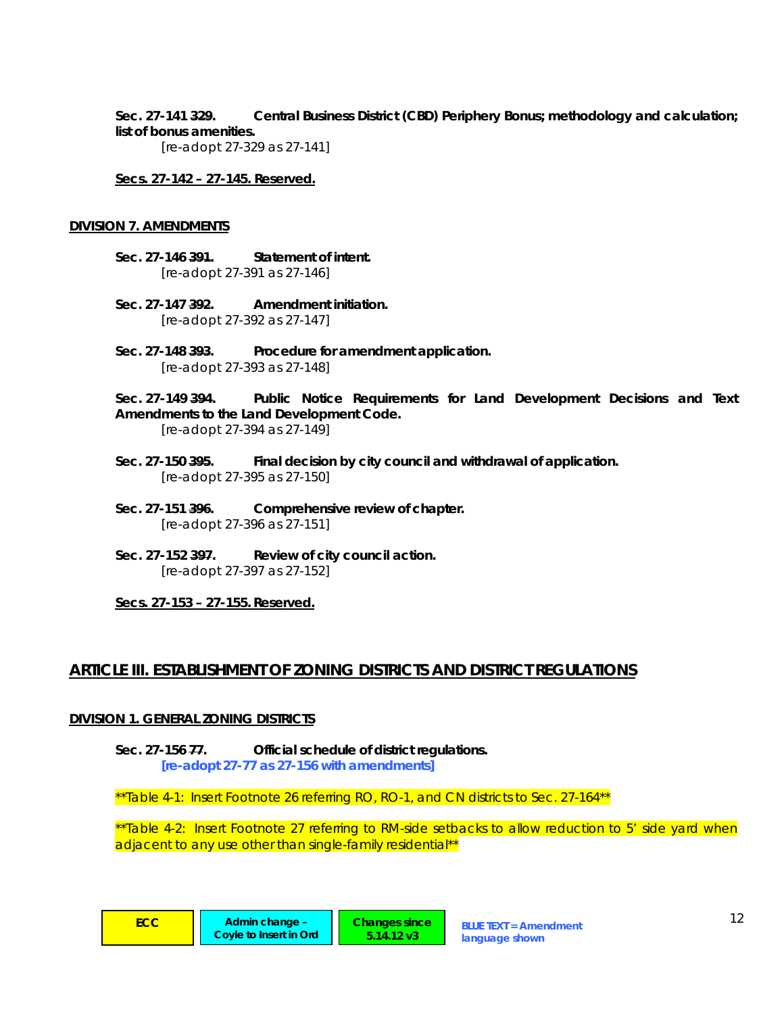# **Sec. 27-141 329. Central Business District (CBD) Periphery Bonus; methodology and calculation; list of bonus amenities.**

 *[re-adopt 27-329 as 27-141]* 

**Secs. 27-142 – 27-145. Reserved.**

#### **DIVISION 7. AMENDMENTS**

- **Sec. 27-146 391. Statement of intent.**   *[re-adopt 27-391 as 27-146]*
- **Sec. 27-147 392. Amendment initiation.**   *[re-adopt 27-392 as 27-147]*
- **Sec. 27-148 393. Procedure for amendment application.**   *[re-adopt 27-393 as 27-148]*

**Sec. 27-149 394. Public Notice Requirements for Land Development Decisions and Text Amendments to the Land Development Code.** 

 *[re-adopt 27-394 as 27-149]* 

- **Sec. 27-150 395. Final decision by city council and withdrawal of application.**   *[re-adopt 27-395 as 27-150]*
- **Sec. 27-151 396. Comprehensive review of chapter.**   *[re-adopt 27-396 as 27-151]*
- Sec. 27-152 397. Review of city council action.  *[re-adopt 27-397 as 27-152]*

**Secs. 27-153 – 27-155. Reserved.**

# **ARTICLE III. ESTABLISHMENT OF ZONING DISTRICTS AND DISTRICT REGULATIONS**

## **DIVISION 1. GENERAL ZONING DISTRICTS**

**Sec. 27-156 77. Official schedule of district regulations.**   *[re-adopt 27-77 as 27-156 with amendments]* 

*\*\*Table 4-1: Insert Footnote 26 referring RO, RO-1, and CN districts to Sec. 27-164\*\** 

*\*\*Table 4-2: Insert Footnote 27 referring to RM-side setbacks to allow reduction to 5' side yard when adjacent to any use other than single-family residential\*\** 

> **Changes since 5.14.12 v3**

| <b>Contract Contract Contract Contract Contract Contract Contract Contract Contract Contract Contract Contract Co</b> | <b>CONTRACTOR</b><br><b>Contract Contract Contract Contract Contract Contract Contract Contract Contract Contract Contract Contract Co</b> | <b>Service Service</b><br><b>Contract Contract Contract Contract Contract Contract Contract Contract Contract Contract Contract Contract Co</b><br><b>Service Service</b> |
|-----------------------------------------------------------------------------------------------------------------------|--------------------------------------------------------------------------------------------------------------------------------------------|---------------------------------------------------------------------------------------------------------------------------------------------------------------------------|
|                                                                                                                       | __                                                                                                                                         | -                                                                                                                                                                         |
|                                                                                                                       |                                                                                                                                            |                                                                                                                                                                           |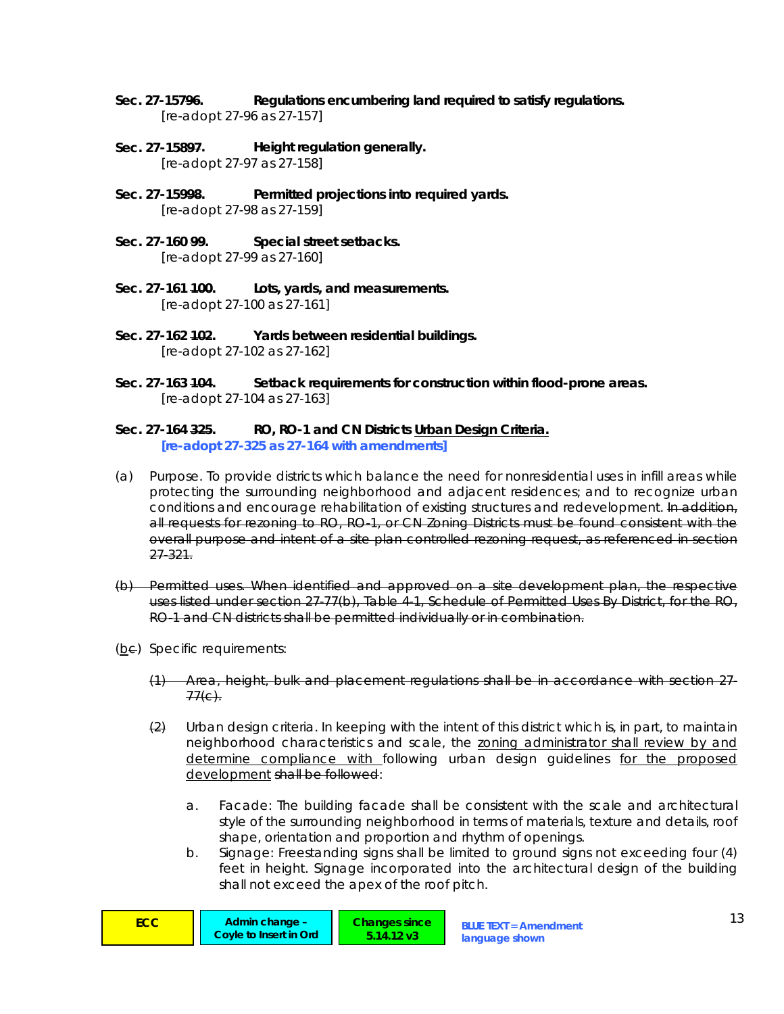- **Sec. 27-15796. Regulations encumbering land required to satisfy regulations.**   *[re-adopt 27-96 as 27-157]*
- **Sec. 27-15897. Height regulation generally.**   *[re-adopt 27-97 as 27-158]*
- Sec. 27-15998. Permitted projections into required yards.  *[re-adopt 27-98 as 27-159]*
- **Sec. 27-160 99. Special street setbacks.**   *[re-adopt 27-99 as 27-160]*
- Sec. 27-161 <del>100</del>. Lots, yards, and measurements.  *[re-adopt 27-100 as 27-161]*
- **Sec. 27-162 102. Yards between residential buildings.**   *[re-adopt 27-102 as 27-162]*
- **Sec. 27-163 104. Setback requirements for construction within flood-prone areas.**   *[re-adopt 27-104 as 27-163]*

#### **Sec. 27-164 325. RO, RO-1 and CN Districts Urban Design Criteria.**   *[re-adopt 27-325 as 27-164 with amendments]*

- (a) *Purpose.* To provide districts which balance the need for nonresidential uses in infill areas while protecting the surrounding neighborhood and adjacent residences; and to recognize urban conditions and encourage rehabilitation of existing structures and redevelopment. In addition, all requests for rezoning to RO, RO 1, or CN Zoning Districts must be found consistent with the overall purpose and intent of a site plan controlled rezoning request, as referenced in section 27-321.
- (b) *Permitted uses.* When identified and approved on a site development plan, the respective uses listed under section 27-77(b), Table 4-1, Schedule of Permitted Uses By District, for the RO, RO-1 and CN districts shall be permitted individually or in combination.
- (be) Specific requirements:
	- (1) Area, height, bulk and placement regulations shall be in accordance with section 27-  $77(e)$ .
	- (2) *Urban design criteria.* In keeping with the intent of this district which is, in part, to maintain neighborhood characteristics and scale, the zoning administrator shall review by and determine compliance with following urban design guidelines for the proposed development shall be followed:
		- a. *Facade:* The building facade shall be consistent with the scale and architectural style of the surrounding neighborhood in terms of materials, texture and details, roof shape, orientation and proportion and rhythm of openings.
		- b. *Signage:* Freestanding signs shall be limited to ground signs not exceeding four (4) feet in height. Signage incorporated into the architectural design of the building shall not exceed the apex of the roof pitch.

| <b>ECC</b><br>Admin change -<br>Covie to Insert in Ord | Changes since<br>$5.14.12 \text{ v}3$ | <b>BLUE TEXT = Amendment</b><br>language shown |  |
|--------------------------------------------------------|---------------------------------------|------------------------------------------------|--|
|--------------------------------------------------------|---------------------------------------|------------------------------------------------|--|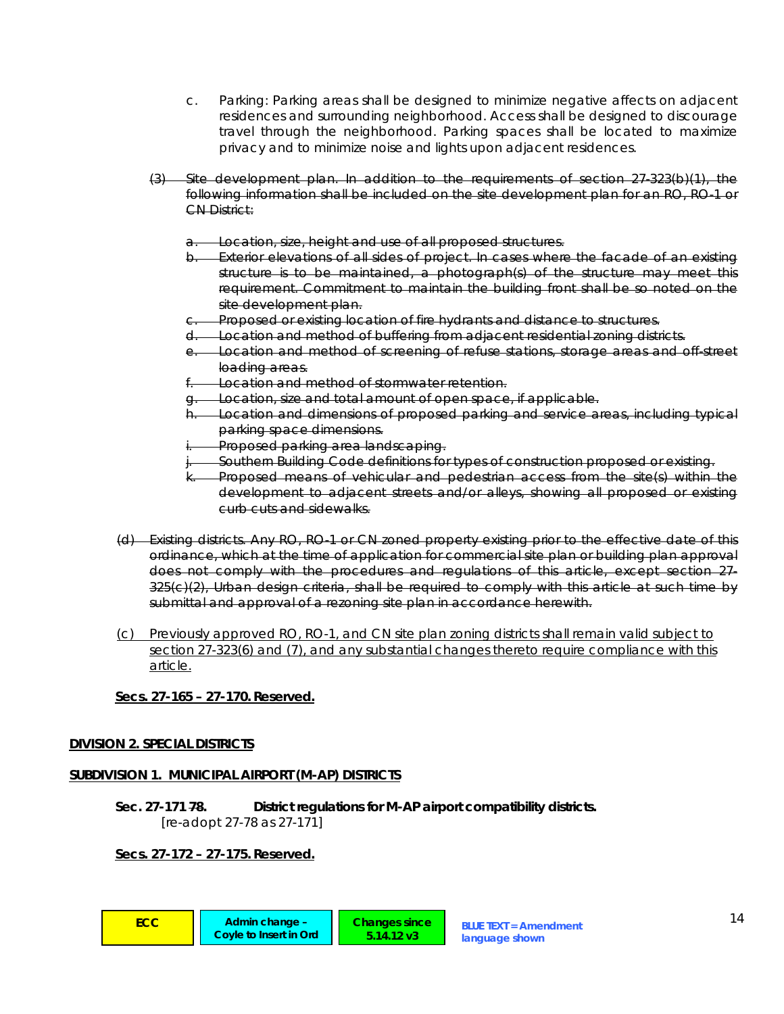- c. *Parking:* Parking areas shall be designed to minimize negative affects on adjacent residences and surrounding neighborhood. Access shall be designed to discourage travel through the neighborhood. Parking spaces shall be located to maximize privacy and to minimize noise and lights upon adjacent residences.
- (3) *Site development plan.* In addition to the requirements of section 27-323(b)(1), the following information shall be included on the site development plan for an RO, RO-1 or CN District:
	- a. Location, size, height and use of all proposed structures.
	- b. Exterior elevations of all sides of project. In cases where the facade of an existing structure is to be maintained, a photograph(s) of the structure may meet this requirement. Commitment to maintain the building front shall be so noted on the site development plan.
	- Proposed or existing location of fire hydrants and distance to structures.
	- Location and method of buffering from adjacent residential zoning districts.
	- e. Location and method of screening of refuse stations, storage areas and off-street loading areas.
	- f. Location and method of stormwater retention.
	- g. Location, size and total amount of open space, if applicable.
	- h. Location and dimensions of proposed parking and service areas, including typical parking space dimensions.
	- Proposed parking area landscaping.
	- Southern Building Code definitions for types of construction proposed or existing.
	- Proposed means of vehicular and pedestrian access from the site(s) within the development to adjacent streets and/or alleys, showing all proposed or existing curb cuts and sidewalks.
- (d) *Existing districts.* Any RO, RO-1 or CN zoned property existing prior to the effective date of this ordinance, which at the time of application for commercial site plan or building plan approval does not comply with the procedures and regulations of this article, except section 27- 325(c)(2), Urban design criteria, shall be required to comply with this article at such time by submittal and approval of a rezoning site plan in accordance herewith.
- (c) Previously approved RO, RO-1, and CN site plan zoning districts shall remain valid subject to section 27-323(6) and (7), and any substantial changes thereto require compliance with this article.

## **Secs. 27-165 – 27-170. Reserved.**

## **DIVISION 2. SPECIAL DISTRICTS**

## **SUBDIVISION 1. MUNICIPAL AIRPORT (M-AP) DISTRICTS**

**Sec. 27-171 78. District regulations for M-AP airport compatibility districts.**   *[re-adopt 27-78 as 27-171]* 

**5.14.12 v3**

## **Secs. 27-172 – 27-175. Reserved.**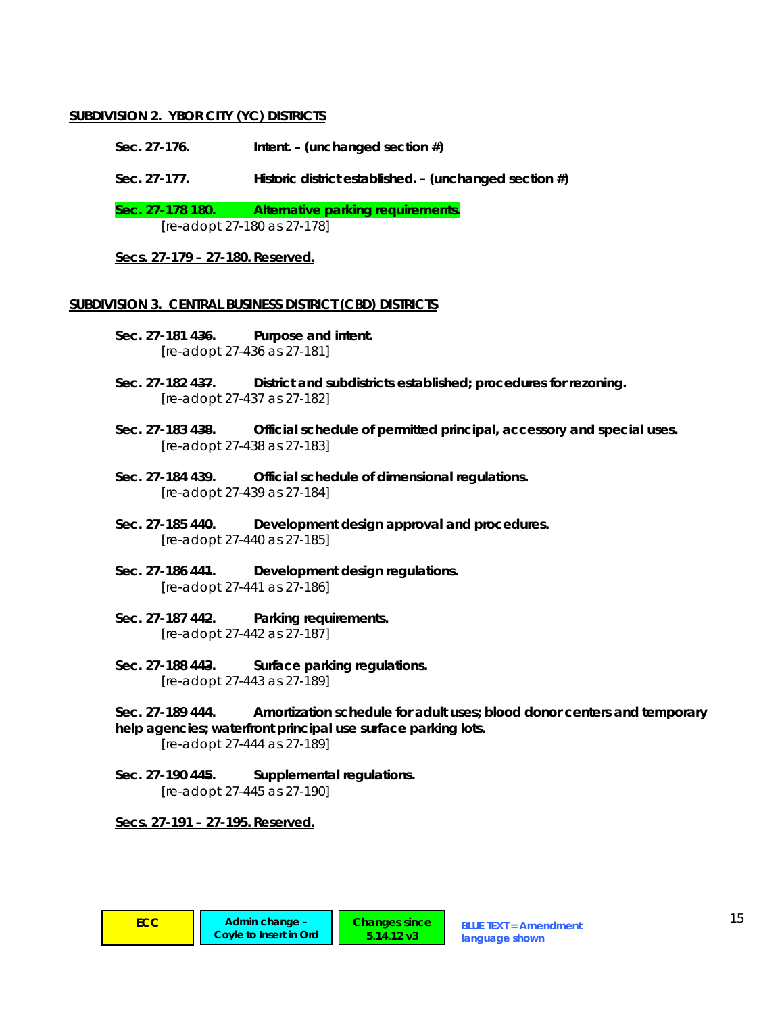## **SUBDIVISION 2. YBOR CITY (YC) DISTRICTS**

- **Sec. 27-176. Intent. (***unchanged section #***)**
- **Sec. 27-177. Historic district established. (***unchanged section #***)**

Sec. 27-178 <del>180.</del> Alternative parking requirements.  *[re-adopt 27-180 as 27-178]* 

**Secs. 27-179 – 27-180. Reserved.**

#### **SUBDIVISION 3. CENTRAL BUSINESS DISTRICT (CBD) DISTRICTS**

- **Sec. 27-181 436. Purpose and intent.**   *[re-adopt 27-436 as 27-181]*
- **Sec. 27-182 437. District and subdistricts established; procedures for rezoning.**   *[re-adopt 27-437 as 27-182]*
- **Sec. 27-183 438. Official schedule of permitted principal, accessory and special uses.**   *[re-adopt 27-438 as 27-183]*
- **Sec. 27-184 439. Official schedule of dimensional regulations.**   *[re-adopt 27-439 as 27-184]*
- **Sec. 27-185 440. Development design approval and procedures.**   *[re-adopt 27-440 as 27-185]*
- **Sec. 27-186 441. Development design regulations.**   *[re-adopt 27-441 as 27-186]*
- **Sec. 27-187 442. Parking requirements.**   *[re-adopt 27-442 as 27-187]*
- **Sec. 27-188 443. Surface parking regulations.**   *[re-adopt 27-443 as 27-189]*

**Sec. 27-189 444. Amortization schedule for adult uses; blood donor centers and temporary help agencies; waterfront principal use surface parking lots.** 

 *[re-adopt 27-444 as 27-189]* 

**Sec. 27-190 445. Supplemental regulations.**   *[re-adopt 27-445 as 27-190]* 

**Secs. 27-191 – 27-195. Reserved.**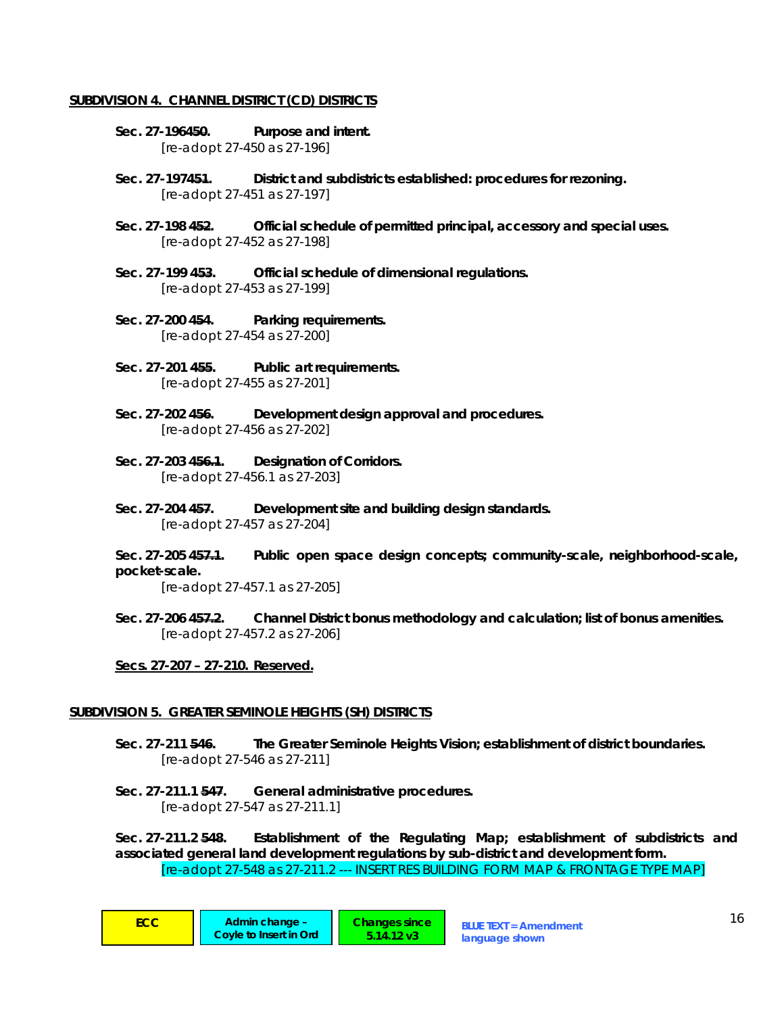#### **SUBDIVISION 4. CHANNEL DISTRICT (CD) DISTRICTS**

- **Sec. 27-196450. Purpose and intent.**   *[re-adopt 27-450 as 27-196]*
- **Sec. 27-197451. District and subdistricts established: procedures for rezoning.**   *[re-adopt 27-451 as 27-197]*
- **Sec. 27-198 452. Official schedule of permitted principal, accessory and special uses.**   *[re-adopt 27-452 as 27-198]*
- **Sec. 27-199 453. Official schedule of dimensional regulations.**   *[re-adopt 27-453 as 27-199]*
- **Sec. 27-200 454. Parking requirements.**   *[re-adopt 27-454 as 27-200]*
- **Sec. 27-201 455. Public art requirements.**   *[re-adopt 27-455 as 27-201]*
- **Sec. 27-202 456. Development design approval and procedures.**   *[re-adopt 27-456 as 27-202]*
- **Sec. 27-203 456.1. Designation of Corridors.**   *[re-adopt 27-456.1 as 27-203]*
- **Sec. 27-204 457. Development site and building design standards.**   *[re-adopt 27-457 as 27-204]*
- **Sec. 27-205 457.1. Public open space design concepts; community-scale, neighborhood-scale, pocket-scale.**

 *[re-adopt 27-457.1 as 27-205]* 

**Sec. 27-206 457.2. Channel District bonus methodology and calculation; list of bonus amenities.**   *[re-adopt 27-457.2 as 27-206]* 

**Secs. 27-207 – 27-210. Reserved.**

#### **SUBDIVISION 5. GREATER SEMINOLE HEIGHTS (SH) DISTRICTS**

**Sec. 27-211 546. The Greater Seminole Heights Vision; establishment of district boundaries.**   *[re-adopt 27-546 as 27-211]* 

**Sec. 27-211.1 547. General administrative procedures.**   *[re-adopt 27-547 as 27-211.1]* 

**Sec. 27-211.2 548. Establishment of the Regulating Map; establishment of subdistricts and associated general land development regulations by sub-district and development form.**   *[re-adopt 27-548 as 27-211.2 --- INSERT RES BUILDING FORM MAP & FRONTAGE TYPE MAP]*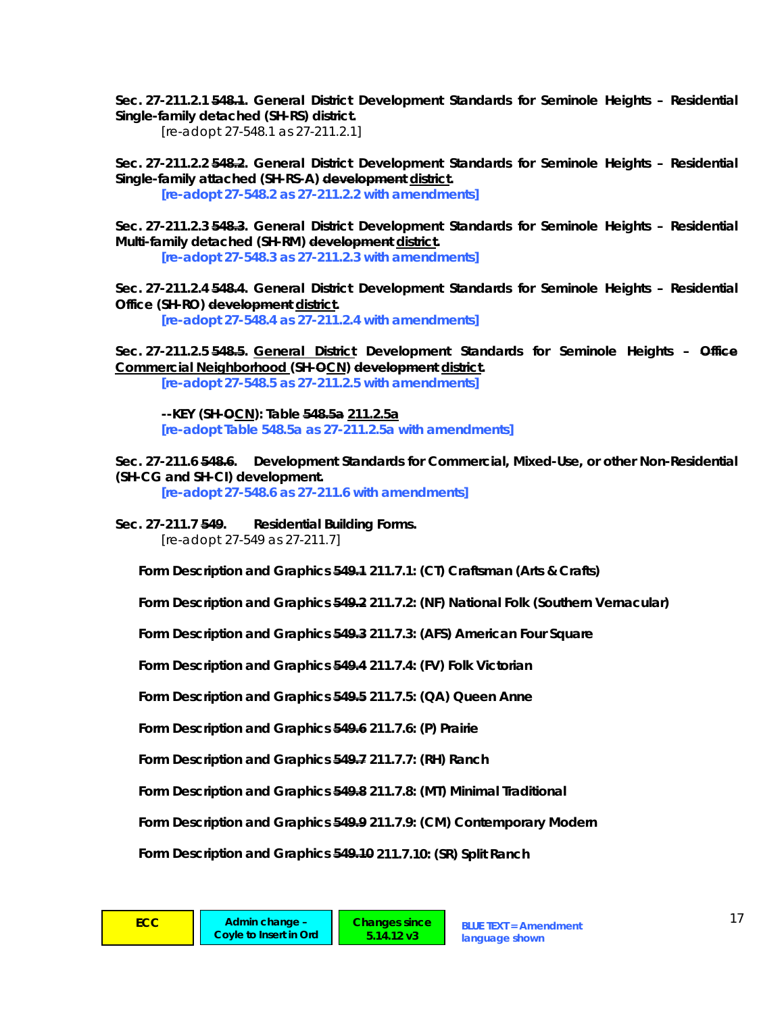**Sec. 27-211.2.1 548.1. General District Development Standards for Seminole Heights – Residential Single-family detached (SH-RS) district.** 

 *[re-adopt 27-548.1 as 27-211.2.1]* 

**Sec. 27-211.2.2 548.2. General District Development Standards for Seminole Heights – Residential Single-family attached (SH-RS-A) development district.** 

 *[re-adopt 27-548.2 as 27-211.2.2 with amendments]* 

**Sec. 27-211.2.3 548.3. General District Development Standards for Seminole Heights – Residential Multi-family detached (SH-RM) development district.** 

 *[re-adopt 27-548.3 as 27-211.2.3 with amendments]* 

**Sec. 27-211.2.4 548.4. General District Development Standards for Seminole Heights – Residential Office (SH-RO) development district.** 

 *[re-adopt 27-548.4 as 27-211.2.4 with amendments]* 

**Sec. 27-211.2.5 548.5. General District Development Standards for Seminole Heights – Office Commercial Neighborhood (SH-OCN) development district.** 

 *[re-adopt 27-548.5 as 27-211.2.5 with amendments]* 

**--KEY (SH-OCN): Table 548.5a 211.2.5a**  *[re-adopt Table 548.5a as 27-211.2.5a with amendments]* 

Sec. 27-211.6 548.6. Development Standards for Commercial, Mixed-Use, or other Non-Residential **(SH-CG and SH-CI) development.** 

 *[re-adopt 27-548.6 as 27-211.6 with amendments]* 

**Sec. 27-211.7 549. Residential Building Forms.**   *[re-adopt 27-549 as 27-211.7]* 

**Form Description and Graphics 549.1 211.7.1: (CT) Craftsman (Arts & Crafts)** 

**Form Description and Graphics 549.2 211.7.2: (NF) National Folk (Southern Vernacular)** 

**Form Description and Graphics 549.3 211.7.3: (AFS) American Four Square** 

**Form Description and Graphics 549.4 211.7.4: (FV) Folk Victorian** 

**Form Description and Graphics 549.5 211.7.5: (QA) Queen Anne** 

**Form Description and Graphics 549.6 211.7.6: (P) Prairie** 

**Form Description and Graphics 549.7 211.7.7: (RH) Ranch** 

**Form Description and Graphics 549.8 211.7.8: (MT) Minimal Traditional** 

**Form Description and Graphics 549.9 211.7.9: (CM) Contemporary Modern** 

**Form Description and Graphics 549.10 211.7.10: (SR) Split Ranch**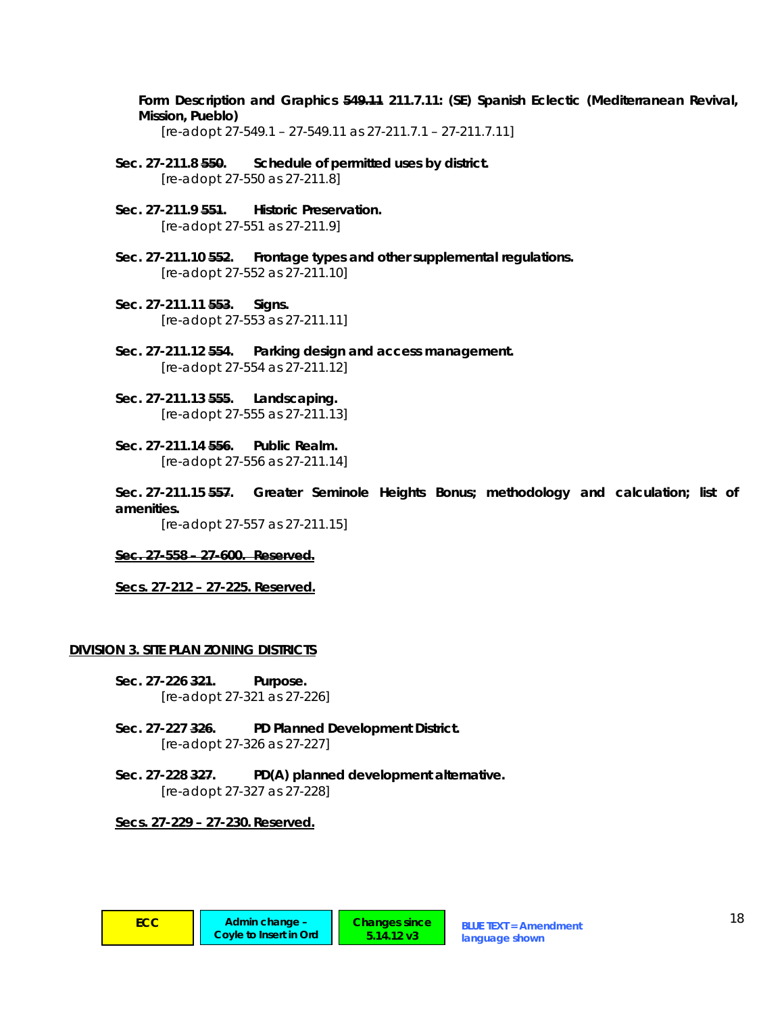**Form Description and Graphics 549.11 211.7.11: (SE) Spanish Eclectic (Mediterranean Revival, Mission, Pueblo)** 

 *[re-adopt 27-549.1 – 27-549.11 as 27-211.7.1 – 27-211.7.11]* 

- **Sec. 27-211.8 550. Schedule of permitted uses by district.**   *[re-adopt 27-550 as 27-211.8]*
- Sec. 27-211.9 554. Historic Preservation.  *[re-adopt 27-551 as 27-211.9]*
- **Sec. 27-211.10 552. Frontage types and other supplemental regulations.**   *[re-adopt 27-552 as 27-211.10]*
- **Sec. 27-211.11 553. Signs.**   *[re-adopt 27-553 as 27-211.11]*
- **Sec. 27-211.12 554. Parking design and access management.**   *[re-adopt 27-554 as 27-211.12]*
- **Sec. 27-211.13 555. Landscaping.**   *[re-adopt 27-555 as 27-211.13]*
- **Sec. 27-211.14 556. Public Realm.**   *[re-adopt 27-556 as 27-211.14]*
- **Sec. 27-211.15 557. Greater Seminole Heights Bonus; methodology and calculation; list of amenities.**

 *[re-adopt 27-557 as 27-211.15]* 

#### **Sec. 27-558 – 27-600. Reserved.**

**Secs. 27-212 – 27-225. Reserved.**

#### **DIVISION 3. SITE PLAN ZONING DISTRICTS**

- **Sec. 27-226 321. Purpose.**  *[re-adopt 27-321 as 27-226]*
- **Sec. 27-227 326. PD Planned Development District.**   *[re-adopt 27-326 as 27-227]*
- **Sec. 27-228 327. PD(A) planned development alternative.**   *[re-adopt 27-327 as 27-228]*

**Changes since 5.14.12 v3**

#### **Secs. 27-229 – 27-230. Reserved.**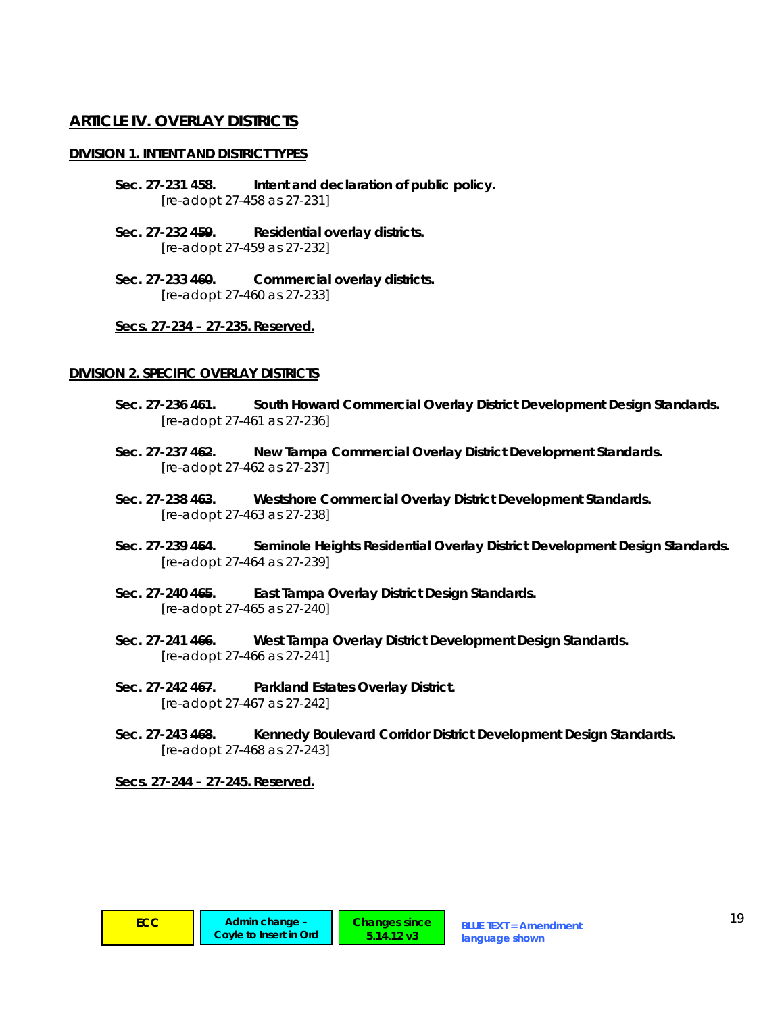# **ARTICLE IV. OVERLAY DISTRICTS**

### **DIVISION 1. INTENT AND DISTRICT TYPES**

- **Sec. 27-231 458. Intent and declaration of public policy.**   *[re-adopt 27-458 as 27-231]*
- **Sec. 27-232 459. Residential overlay districts.**   *[re-adopt 27-459 as 27-232]*
- **Sec. 27-233 460. Commercial overlay districts.**   *[re-adopt 27-460 as 27-233]*

#### **Secs. 27-234 – 27-235. Reserved.**

#### **DIVISION 2. SPECIFIC OVERLAY DISTRICTS**

- Sec. 27-236 464. South Howard Commercial Overlay District Development Design Standards.  *[re-adopt 27-461 as 27-236]*
- Sec. 27-237 462. New Tampa Commercial Overlay District Development Standards.  *[re-adopt 27-462 as 27-237]*
- **Sec. 27-238 463. Westshore Commercial Overlay District Development Standards.**   *[re-adopt 27-463 as 27-238]*
- **Sec. 27-239 464. Seminole Heights Residential Overlay District Development Design Standards.**   *[re-adopt 27-464 as 27-239]*
- **Sec. 27-240 465. East Tampa Overlay District Design Standards.**   *[re-adopt 27-465 as 27-240]*
- **Sec. 27-241 466. West Tampa Overlay District Development Design Standards.**   *[re-adopt 27-466 as 27-241]*
- Sec. 27-242 467. Parkland Estates Overlay District.  *[re-adopt 27-467 as 27-242]*
- **Sec. 27-243 468. Kennedy Boulevard Corridor District Development Design Standards.**   *[re-adopt 27-468 as 27-243]*

**Secs. 27-244 – 27-245. Reserved.**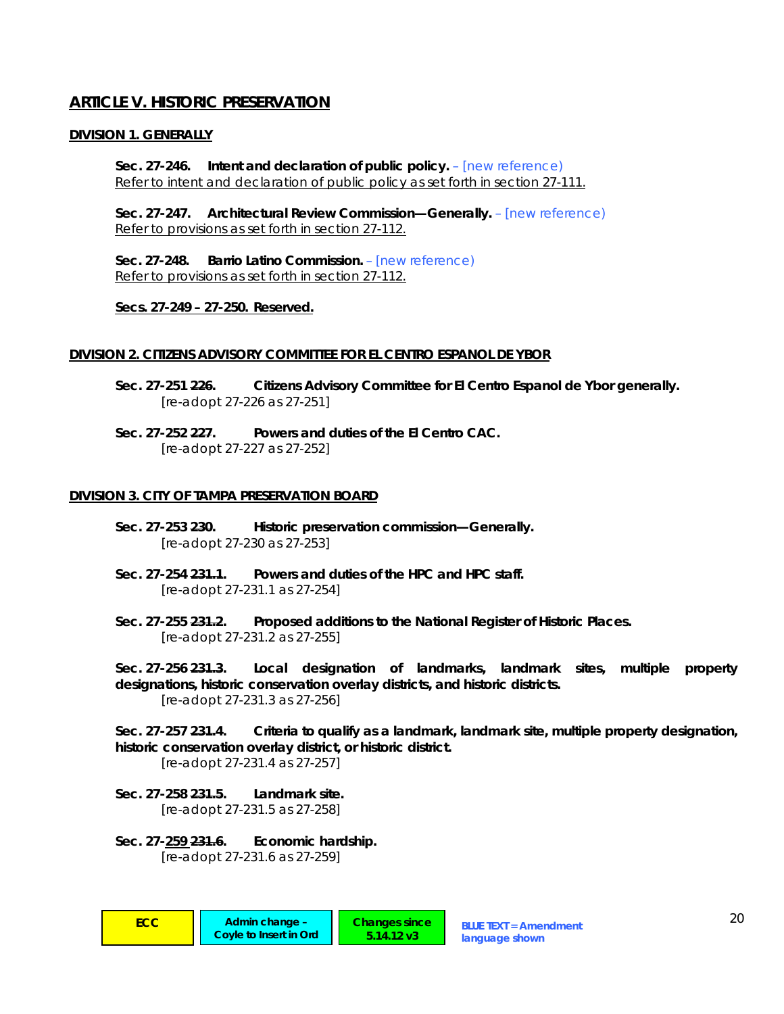# **ARTICLE V. HISTORIC PRESERVATION**

### **DIVISION 1. GENERALLY**

**Sec. 27-246. Intent and declaration of public policy.** *– [new reference)* Refer to intent and declaration of public policy as set forth in section 27-111.

**Sec. 27-247. Architectural Review Commission—Generally.** *– [new reference)* Refer to provisions as set forth in section 27-112.

**Sec. 27-248. Barrio Latino Commission.** *– [new reference)* Refer to provisions as set forth in section 27-112.

#### **Secs. 27-249 – 27-250. Reserved.**

#### **DIVISION 2. CITIZENS ADVISORY COMMITTEE FOR EL CENTRO ESPANOL DE YBOR**

- **Sec. 27-251 226. Citizens Advisory Committee for El Centro Espanol de Ybor generally.**   *[re-adopt 27-226 as 27-251]*
- **Sec. 27-252 227. Powers and duties of the El Centro CAC.**   *[re-adopt 27-227 as 27-252]*

#### **DIVISION 3. CITY OF TAMPA PRESERVATION BOARD**

- **Sec. 27-253 230. Historic preservation commission—Generally.**   *[re-adopt 27-230 as 27-253]*
- **Sec. 27-254 231.1. Powers and duties of the HPC and HPC staff.**   *[re-adopt 27-231.1 as 27-254]*
- **Sec. 27-255 231.2. Proposed additions to the National Register of Historic Places.**   *[re-adopt 27-231.2 as 27-255]*

**Sec. 27-256 231.3. Local designation of landmarks, landmark sites, multiple property designations, historic conservation overlay districts, and historic districts.**   *[re-adopt 27-231.3 as 27-256]* 

**Sec. 27-257 231.4. Criteria to qualify as a landmark, landmark site, multiple property designation, historic conservation overlay district, or historic district.**   *[re-adopt 27-231.4 as 27-257]* 

**Sec. 27-258 231.5. Landmark site.**   *[re-adopt 27-231.5 as 27-258]* 

**Sec. 27-259 231.6. Economic hardship.**   *[re-adopt 27-231.6 as 27-259]*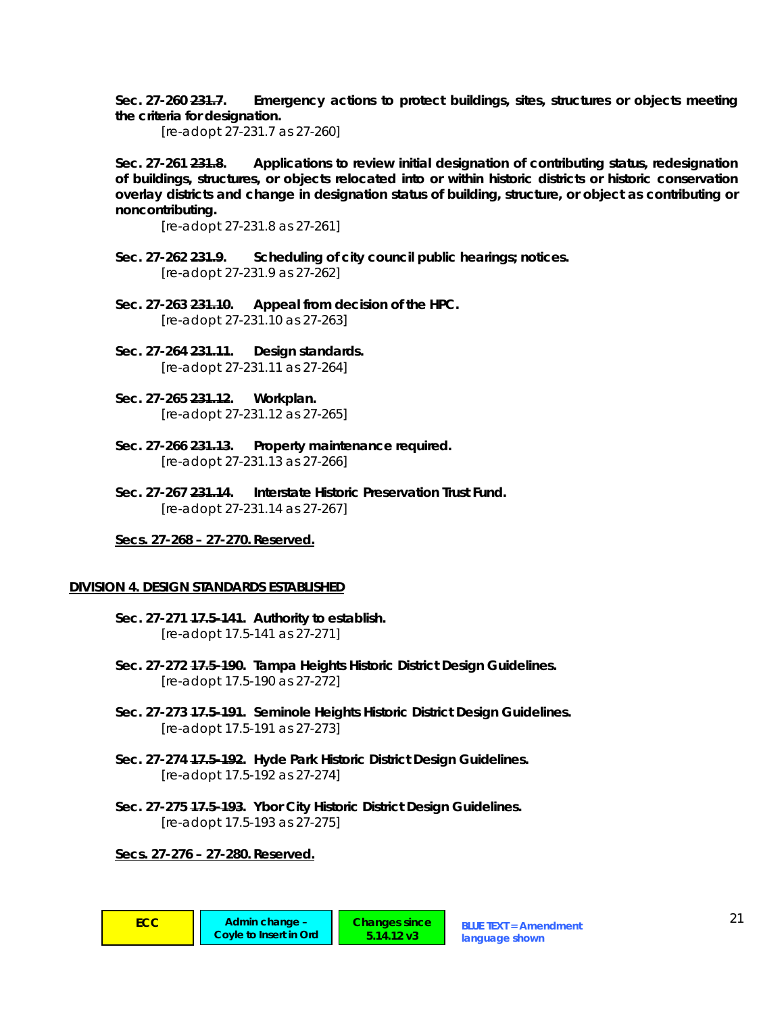**Sec. 27-260 231.7. Emergency actions to protect buildings, sites, structures or objects meeting the criteria for designation.** 

 *[re-adopt 27-231.7 as 27-260]* 

**Sec. 27-261 231.8. Applications to review initial designation of contributing status, redesignation of buildings, structures, or objects relocated into or within historic districts or historic conservation overlay districts and change in designation status of building, structure, or object as contributing or noncontributing.** 

 *[re-adopt 27-231.8 as 27-261]* 

- **Sec. 27-262 231.9. Scheduling of city council public hearings; notices.**   *[re-adopt 27-231.9 as 27-262]*
- **Sec. 27-263 231.10. Appeal from decision of the HPC.**   *[re-adopt 27-231.10 as 27-263]*
- **Sec. 27-264 231.11. Design standards.**   *[re-adopt 27-231.11 as 27-264]*
- **Sec. 27-265 231.12. Workplan.**   *[re-adopt 27-231.12 as 27-265]*
- **Sec. 27-266 231.13. Property maintenance required.**   *[re-adopt 27-231.13 as 27-266]*
- **Sec. 27-267 231.14. Interstate Historic Preservation Trust Fund.**   *[re-adopt 27-231.14 as 27-267]*

#### **Secs. 27-268 – 27-270. Reserved.**

#### **DIVISION 4. DESIGN STANDARDS ESTABLISHED**

- **Sec. 27-271 17.5-141. Authority to establish.**   *[re-adopt 17.5-141 as 27-271]*
- **Sec. 27-272 17.5-190. Tampa Heights Historic District Design Guidelines.**   *[re-adopt 17.5-190 as 27-272]*
- **Sec. 27-273 17.5-191. Seminole Heights Historic District Design Guidelines.**   *[re-adopt 17.5-191 as 27-273]*

**5.14.12 v3**

- **Sec. 27-274 17.5-192. Hyde Park Historic District Design Guidelines.**   *[re-adopt 17.5-192 as 27-274]*
- **Sec. 27-275 17.5-193. Ybor City Historic District Design Guidelines.**   *[re-adopt 17.5-193 as 27-275]*

#### **Secs. 27-276 – 27-280. Reserved.**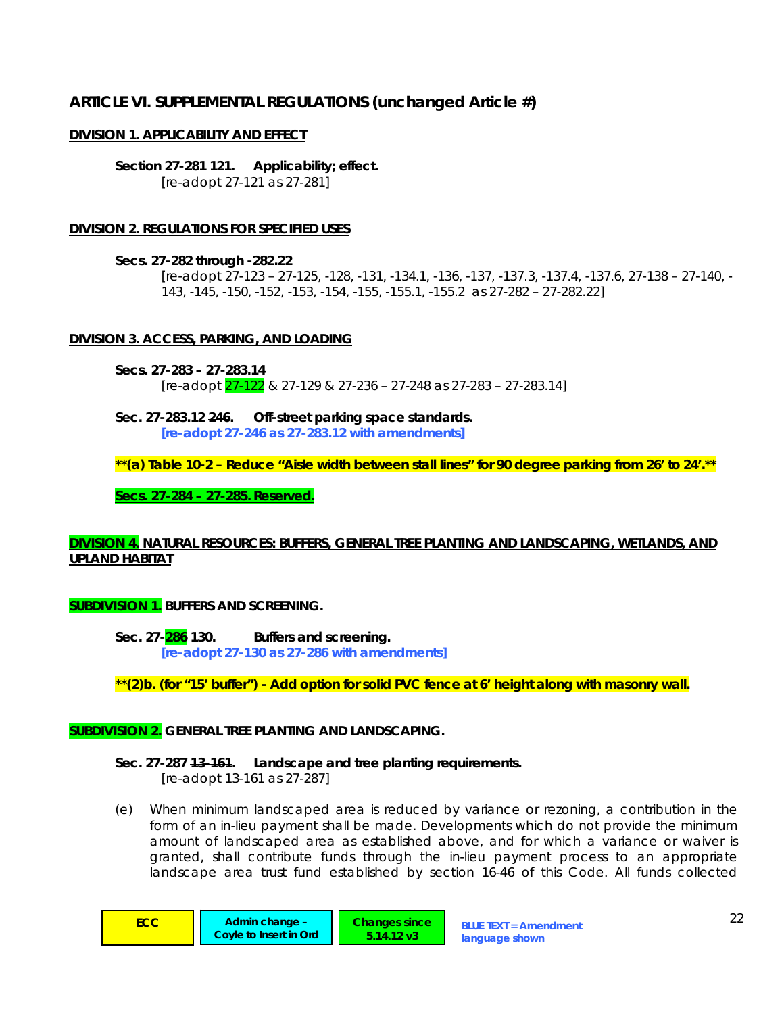# **ARTICLE VI. SUPPLEMENTAL REGULATIONS** *(unchanged Article #)*

## **DIVISION 1. APPLICABILITY AND EFFECT**

**Section 27-281 121. Applicability; effect.**   *[re-adopt 27-121 as 27-281]* 

# **DIVISION 2. REGULATIONS FOR SPECIFIED USES**

**Secs. 27-282 through -282.22** 

*[re-adopt 27-123 – 27-125, -128, -131, -134.1, -136, -137, -137.3, -137.4, -137.6, 27-138 – 27-140, - 143, -145, -150, -152, -153, -154, -155, -155.1, -155.2 as 27-282 – 27-282.22]* 

# **DIVISION 3. ACCESS, PARKING, AND LOADING**

**Secs. 27-283 – 27-283.14**   *[re-adopt 27-122 & 27-129 & 27-236 – 27-248 as 27-283 – 27-283.14]* 

**Sec. 27-283.12 246. Off-street parking space standards.**   *[re-adopt 27-246 as 27-283.12 with amendments]* 

**\*\*(a) Table 10-2 – Reduce "Aisle width between stall lines" for 90 degree parking from 26' to 24'.\*\*** 

**Secs. 27-284 – 27-285. Reserved.**

# **DIVISION 4. NATURAL RESOURCES: BUFFERS, GENERAL TREE PLANTING AND LANDSCAPING, WETLANDS, AND UPLAND HABITAT**

## **SUBDIVISION 1. BUFFERS AND SCREENING.**

**Sec. 27-286 130. Buffers and screening.**   *[re-adopt 27-130 as 27-286 with amendments]* 

**\*\*(2)b. (for "15' buffer") - Add option for solid PVC fence at 6' height along with masonry wall.** 

## **SUBDIVISION 2. GENERAL TREE PLANTING AND LANDSCAPING.**

# **Sec. 27-287 13-161. Landscape and tree planting requirements.**

 *[re-adopt 13-161 as 27-287]* 

(e) *When minimum landscaped area is reduced by variance or rezoning, a contribution in the form of an in-lieu payment shall be made.* Developments which do not provide the minimum amount of landscaped area as established above, and for which a variance or waiver is granted, shall contribute funds through the in-lieu payment process to an appropriate landscape area trust fund established by section 16-46 of this Code. All funds collected

**Coyle to Insert in Ord**

**ECC** Admin change – **Changes since** BLUE TEXT = Amendment 22 **Changes since 5.14.12 v3**

**language shown**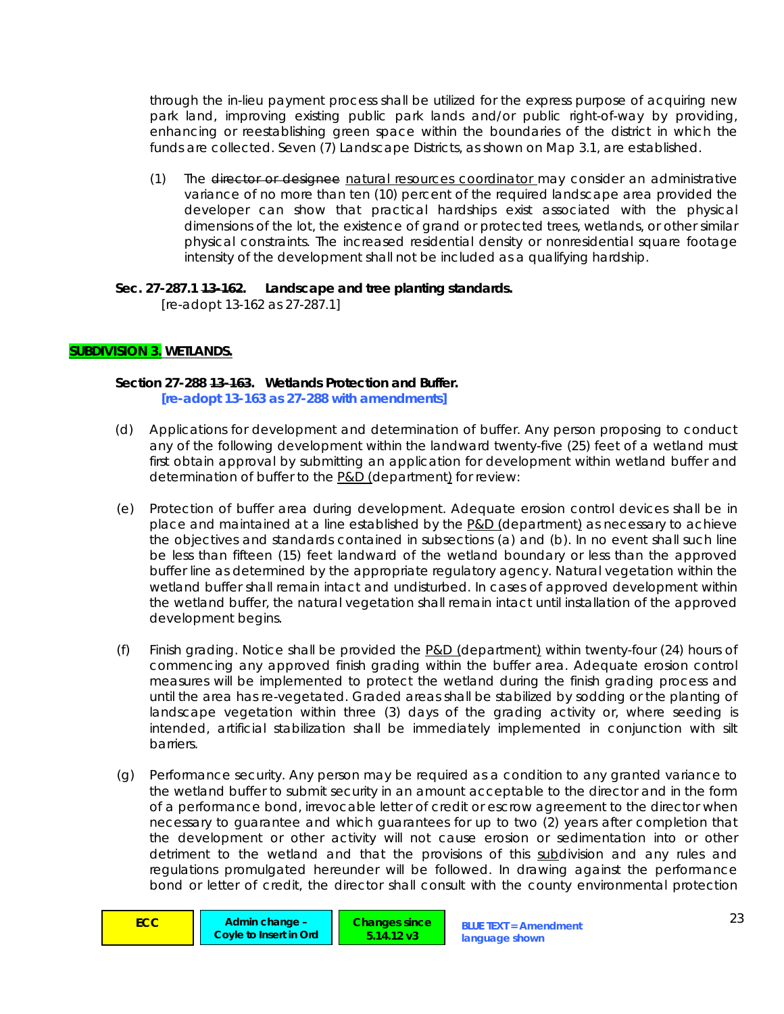through the in-lieu payment process shall be utilized for the express purpose of acquiring new park land, improving existing public park lands and/or public right-of-way by providing, enhancing or reestablishing green space within the boundaries of the district in which the funds are collected. Seven (7) Landscape Districts, as shown on Map 3.1, are established.

(1) The director or designee natural resources coordinator may consider an administrative variance of no more than ten (10) percent of the required landscape area provided the developer can show that practical hardships exist associated with the physical dimensions of the lot, the existence of grand or protected trees, wetlands, or other similar physical constraints. The increased residential density or nonresidential square footage intensity of the development shall not be included as a qualifying hardship.

#### **Sec. 27-287.1 13-162. Landscape and tree planting standards.**  *[re-adopt 13-162 as 27-287.1]*

# **SUBDIVISION 3. WETLANDS.**

#### **Section 27-288 13-163. Wetlands Protection and Buffer.**   *[re-adopt 13-163 as 27-288 with amendments]*

- (d) *Applications for development and determination of buffer.* Any person proposing to conduct any of the following development within the landward twenty-five (25) feet of a wetland must first obtain approval by submitting an application for development within wetland buffer and determination of buffer to the P&D (department) for review:
- (e) *Protection of buffer area during development.* Adequate erosion control devices shall be in place and maintained at a line established by the P&D (department) as necessary to achieve the objectives and standards contained in subsections (a) and (b). In no event shall such line be less than fifteen (15) feet landward of the wetland boundary or less than the approved buffer line as determined by the appropriate regulatory agency. Natural vegetation within the wetland buffer shall remain intact and undisturbed. In cases of approved development within the wetland buffer, the natural vegetation shall remain intact until installation of the approved development begins.
- (f) *Finish grading.* Notice shall be provided the P&D (department) within twenty-four (24) hours of commencing any approved finish grading within the buffer area. Adequate erosion control measures will be implemented to protect the wetland during the finish grading process and until the area has re-vegetated. Graded areas shall be stabilized by sodding or the planting of landscape vegetation within three (3) days of the grading activity or, where seeding is intended, artificial stabilization shall be immediately implemented in conjunction with silt barriers.
- (g) *Performance security.* Any person may be required as a condition to any granted variance to the wetland buffer to submit security in an amount acceptable to the director and in the form of a performance bond, irrevocable letter of credit or escrow agreement to the director when necessary to guarantee and which guarantees for up to two (2) years after completion that the development or other activity will not cause erosion or sedimentation into or other detriment to the wetland and that the provisions of this subdivision and any rules and regulations promulgated hereunder will be followed. In drawing against the performance bond or letter of credit, the director shall consult with the county environmental protection

**ECC** Admin change – **BLUE TEXT = Amendment** 23 **Coyle to Insert in Ord**

**Changes since 5.14.12 v3**

**language shown**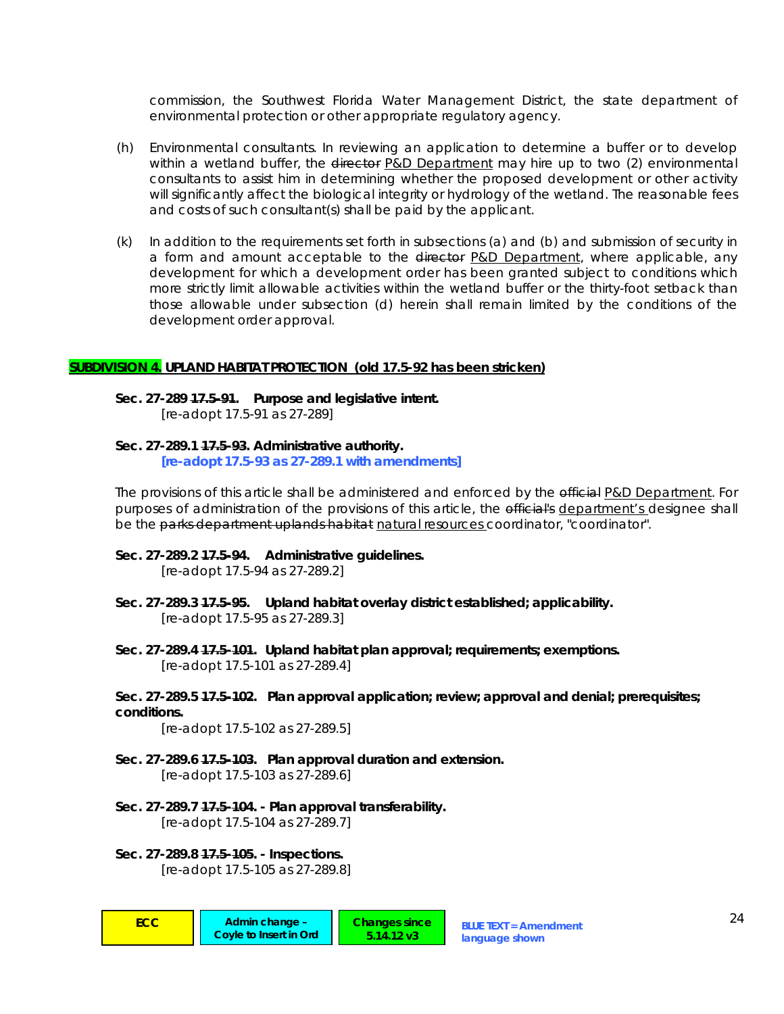commission, the Southwest Florida Water Management District, the state department of environmental protection or other appropriate regulatory agency.

- (h) *Environmental consultants.* In reviewing an application to determine a buffer or to develop within a wetland buffer, the director P&D Department may hire up to two (2) environmental consultants to assist him in determining whether the proposed development or other activity will significantly affect the biological integrity or hydrology of the wetland. The reasonable fees and costs of such consultant(s) shall be paid by the applicant.
- (k) In addition to the requirements set forth in subsections (a) and (b) and submission of security in a form and amount acceptable to the director P&D Department, where applicable, any development for which a development order has been granted subject to conditions which more strictly limit allowable activities within the wetland buffer or the thirty-foot setback than those allowable under subsection (d) herein shall remain limited by the conditions of the development order approval.

#### **SUBDIVISION 4. UPLAND HABITAT PROTECTION** *(old 17.5-92 has been stricken)*

**Sec. 27-289 17.5-91. Purpose and legislative intent.**   *[re-adopt 17.5-91 as 27-289]* 

**Sec. 27-289.1 17.5-93. Administrative authority.**   *[re-adopt 17.5-93 as 27-289.1 with amendments]* 

The provisions of this article shall be administered and enforced by the efficial P&D Department. For purposes of administration of the provisions of this article, the efficial's department's designee shall be the parks department uplands habitat natural resources coordinator, "coordinator".

**Sec. 27-289.2 17.5-94. Administrative guidelines.** 

 *[re-adopt 17.5-94 as 27-289.2]* 

- **Sec. 27-289.3 17.5-95. Upland habitat overlay district established; applicability.**   *[re-adopt 17.5-95 as 27-289.3]*
- **Sec. 27-289.4 17.5-101. Upland habitat plan approval; requirements; exemptions.**   *[re-adopt 17.5-101 as 27-289.4]*
- **Sec. 27-289.5 17.5-102. Plan approval application; review; approval and denial; prerequisites; conditions.**

 *[re-adopt 17.5-102 as 27-289.5]* 

- **Sec. 27-289.6 17.5-103. Plan approval duration and extension.**   *[re-adopt 17.5-103 as 27-289.6]*
- **Sec. 27-289.7 17.5-104. Plan approval transferability.**   *[re-adopt 17.5-104 as 27-289.7]*
- **Sec. 27-289.8 17.5-105. Inspections.**   *[re-adopt 17.5-105 as 27-289.8]*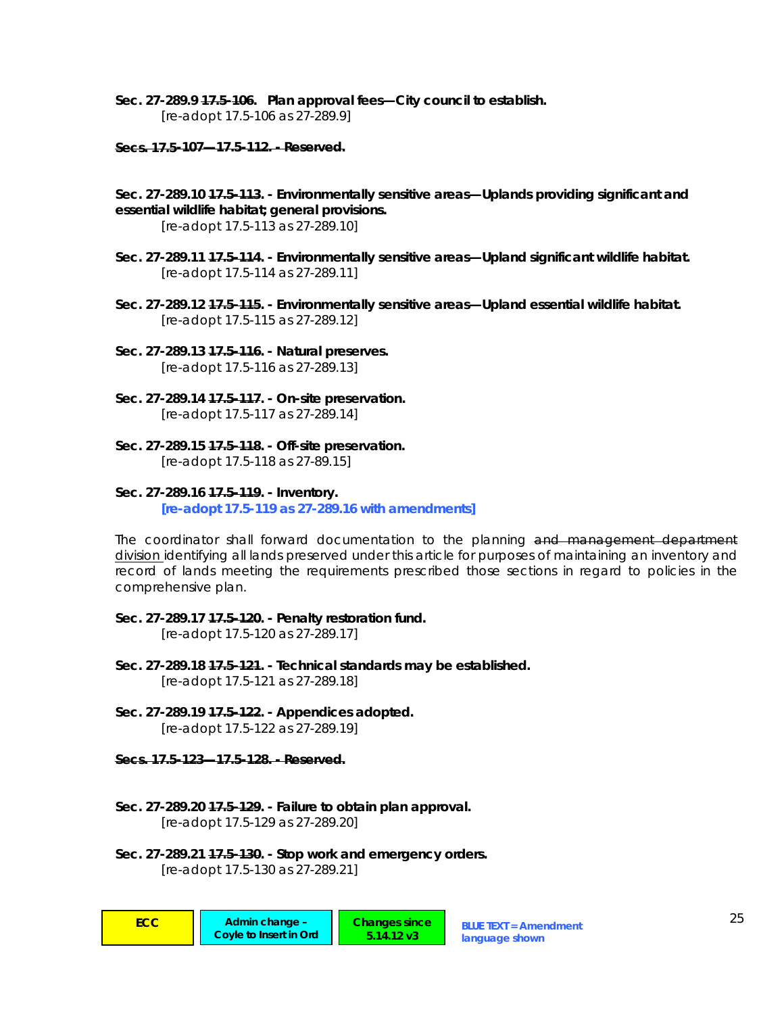- **Sec. 27-289.9 17.5-106. Plan approval fees—City council to establish.**   *[re-adopt 17.5-106 as 27-289.9]*
- **Secs. 17.5-107—17.5-112. Reserved.**
- **Sec. 27-289.10 17.5-113. Environmentally sensitive areas—Uplands providing significant and essential wildlife habitat; general provisions.**

 *[re-adopt 17.5-113 as 27-289.10]* 

- **Sec. 27-289.11 17.5-114. Environmentally sensitive areas—Upland significant wildlife habitat.**   *[re-adopt 17.5-114 as 27-289.11]*
- **Sec. 27-289.12 17.5-115. Environmentally sensitive areas—Upland essential wildlife habitat.**   *[re-adopt 17.5-115 as 27-289.12]*
- **Sec. 27-289.13 17.5-116. Natural preserves.**   *[re-adopt 17.5-116 as 27-289.13]*
- **Sec. 27-289.14 17.5-117. On-site preservation.**   *[re-adopt 17.5-117 as 27-289.14]*
- **Sec. 27-289.15 17.5-118. Off-site preservation.**   *[re-adopt 17.5-118 as 27-89.15]*
- **Sec. 27-289.16 17.5-119. Inventory.**   *[re-adopt 17.5-119 as 27-289.16 with amendments]*

The coordinator shall forward documentation to the planning and management department division identifying all lands preserved under this article for purposes of maintaining an inventory and record of lands meeting the requirements prescribed those sections in regard to policies in the comprehensive plan.

- **Sec. 27-289.17 17.5-120. Penalty restoration fund.**   *[re-adopt 17.5-120 as 27-289.17]*
- **Sec. 27-289.18 17.5-121. Technical standards may be established.**   *[re-adopt 17.5-121 as 27-289.18]*
- **Sec. 27-289.19 17.5-122. Appendices adopted.**   *[re-adopt 17.5-122 as 27-289.19]*

**Secs. 17.5-123—17.5-128. - Reserved.**

- **Sec. 27-289.20 17.5-129. Failure to obtain plan approval.**   *[re-adopt 17.5-129 as 27-289.20]*
- **Sec. 27-289.21 17.5-130. Stop work and emergency orders.**   *[re-adopt 17.5-130 as 27-289.21]*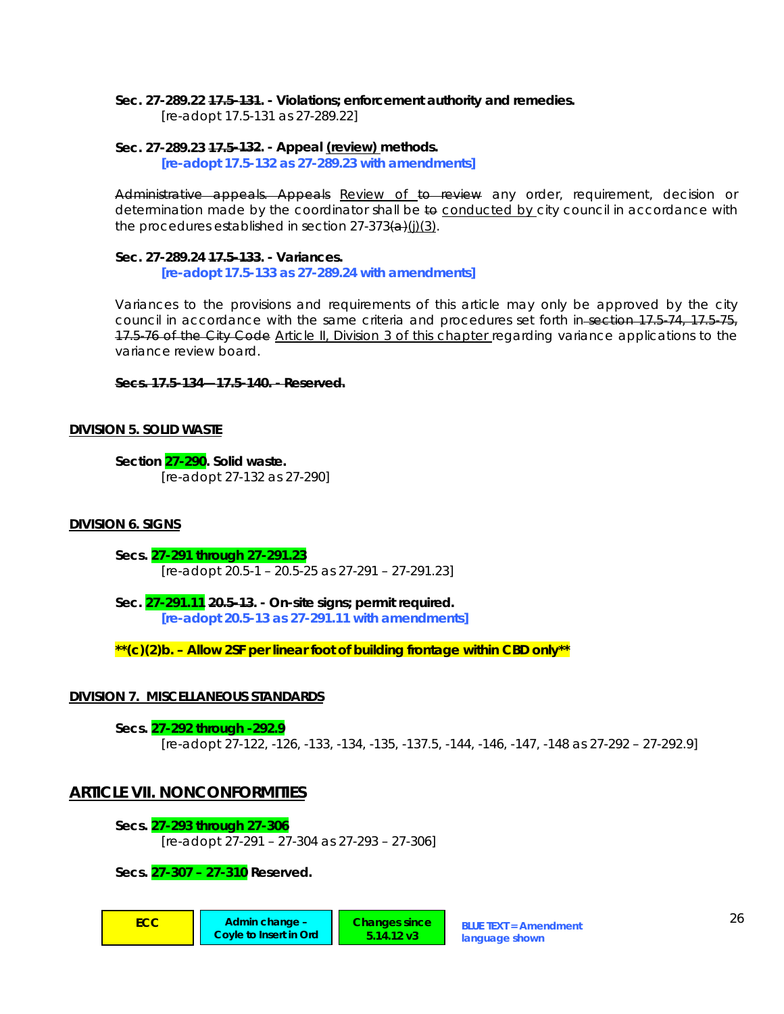#### **Sec. 27-289.22 17.5-131. - Violations; enforcement authority and remedies.**

 *[re-adopt 17.5-131 as 27-289.22]* 

# **Sec. 27-289.23 17.5-132. - Appeal (review) methods.**

 *[re-adopt 17.5-132 as 27-289.23 with amendments]* 

Administrative appeals. Appeals Review of to review any order, requirement, decision or determination made by the coordinator shall be to conducted by city council in accordance with the procedures established in section  $27-373(a)(j)(3)$ .

**Sec. 27-289.24 17.5-133. - Variances.**   *[re-adopt 17.5-133 as 27-289.24 with amendments]* 

Variances to the provisions and requirements of this article may only be approved by the city council in accordance with the same criteria and procedures set forth in-section 17.5-74, 17.5-75, 17.5-76 of the City Code Article II, Division 3 of this chapter regarding variance applications to the variance review board.

**Secs. 17.5-134—17.5-140. - Reserved.**

## **DIVISION 5. SOLID WASTE**

**Section 27-290. Solid waste.**   *[re-adopt 27-132 as 27-290]* 

## **DIVISION 6. SIGNS**

**Secs. 27-291 through 27-291.23**   *[re-adopt 20.5-1 – 20.5-25 as 27-291 – 27-291.23]* 

**Sec. 27-291.11 20.5-13. - On-site signs; permit required.** 

 *[re-adopt 20.5-13 as 27-291.11 with amendments]* 

*\*\*(c)(2)b. – Allow 2SF per linear foot of building frontage within CBD only\*\** 

## **DIVISION 7. MISCELLANEOUS STANDARDS**

**Secs. 27-292 through -292.9**  *[re-adopt 27-122, -126, -133, -134, -135, -137.5, -144, -146, -147, -148 as 27-292 – 27-292.9]* 

> **Changes since 5.14.12 v3**

# **ARTICLE VII. NONCONFORMITIES**

**Secs. 27-293 through 27-306**  *[re-adopt 27-291 – 27-304 as 27-293 – 27-306]* 

**Secs. 27-307 – 27-310 Reserved.**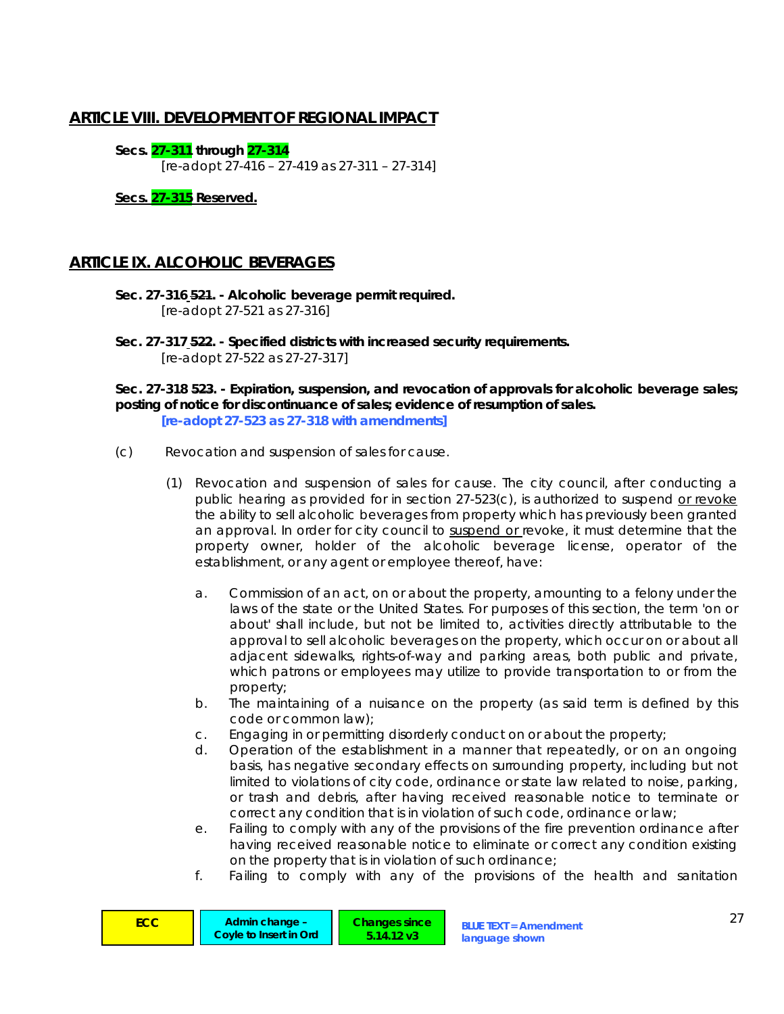# **ARTICLE VIII. DEVELOPMENT OF REGIONAL IMPACT**

**Secs. 27-311 through 27-314**  *[re-adopt 27-416 – 27-419 as 27-311 – 27-314]* 

**Secs. 27-315 Reserved.**

# **ARTICLE IX. ALCOHOLIC BEVERAGES**

- **Sec. 27-316 521. Alcoholic beverage permit required.**   *[re-adopt 27-521 as 27-316]*
- **Sec. 27-317 522. Specified districts with increased security requirements.**   *[re-adopt 27-522 as 27-27-317]*

**Sec. 27-318 523. - Expiration, suspension, and revocation of approvals for alcoholic beverage sales; posting of notice for discontinuance of sales; evidence of resumption of sales.**  *[re-adopt 27-523 as 27-318 with amendments]* 

- (c) *Revocation and suspension of sales for cause.*
	- (1) *Revocation and suspension of sales for cause.* The city council, after conducting a public hearing as provided for in section 27-523(c), is authorized to suspend or revoke the ability to sell alcoholic beverages from property which has previously been granted an approval. In order for city council to suspend or revoke, it must determine that the property owner, holder of the alcoholic beverage license, operator of the establishment, or any agent or employee thereof, have:
		- a. Commission of an act, on or about the property, amounting to a felony under the laws of the state or the United States. For purposes of this section, the term 'on or about' shall include, but not be limited to, activities directly attributable to the approval to sell alcoholic beverages on the property, which occur on or about all adjacent sidewalks, rights-of-way and parking areas, both public and private, which patrons or employees may utilize to provide transportation to or from the property;
		- b. The maintaining of a nuisance on the property (as said term is defined by this code or common law);
		- c. Engaging in or permitting disorderly conduct on or about the property;
		- d. Operation of the establishment in a manner that repeatedly, or on an ongoing basis, has negative secondary effects on surrounding property, including but not limited to violations of city code, ordinance or state law related to noise, parking, or trash and debris, after having received reasonable notice to terminate or correct any condition that is in violation of such code, ordinance or law;
		- e. Failing to comply with any of the provisions of the fire prevention ordinance after having received reasonable notice to eliminate or correct any condition existing on the property that is in violation of such ordinance;
		- f. Failing to comply with any of the provisions of the health and sanitation

| <b>ECC</b> | Admin change -<br>Covie to Insert in Ord | Changes since 7<br>5.14.12 v3 | <b>BLUE TEXT = Amendment</b><br>language shown |  |
|------------|------------------------------------------|-------------------------------|------------------------------------------------|--|
|------------|------------------------------------------|-------------------------------|------------------------------------------------|--|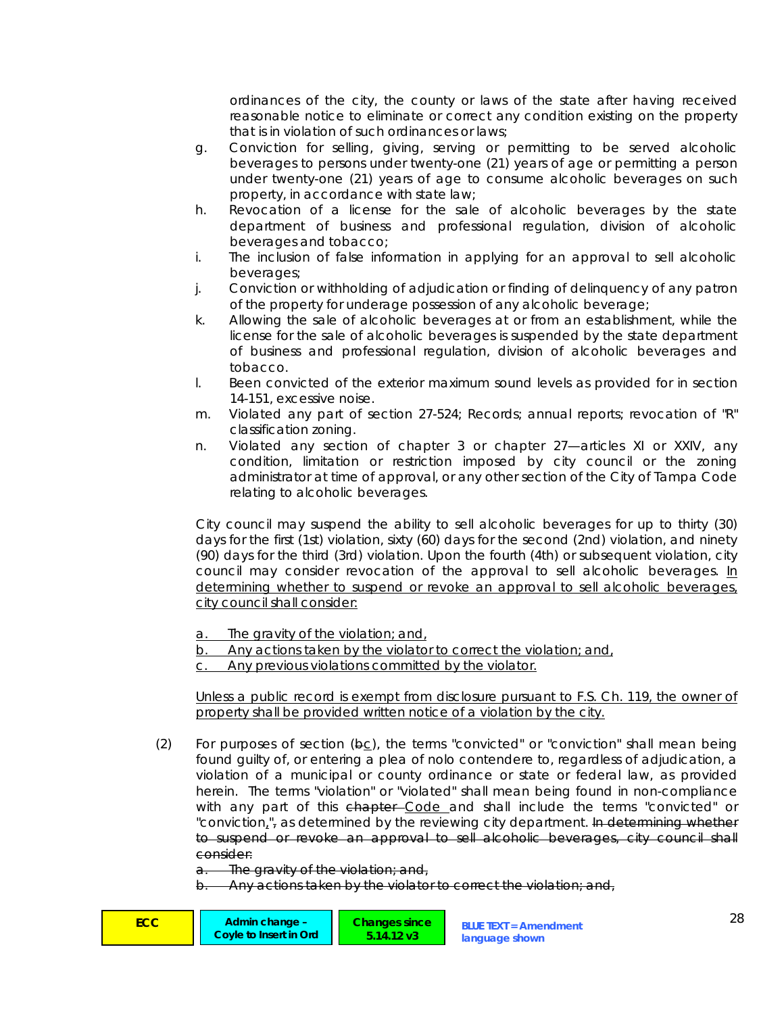ordinances of the city, the county or laws of the state after having received reasonable notice to eliminate or correct any condition existing on the property that is in violation of such ordinances or laws;

- g. Conviction for selling, giving, serving or permitting to be served alcoholic beverages to persons under twenty-one (21) years of age or permitting a person under twenty-one (21) years of age to consume alcoholic beverages on such property, in accordance with state law;
- h. Revocation of a license for the sale of alcoholic beverages by the state department of business and professional regulation, division of alcoholic beverages and tobacco;
- i. The inclusion of false information in applying for an approval to sell alcoholic beverages;
- j. Conviction or withholding of adjudication or finding of delinquency of any patron of the property for underage possession of any alcoholic beverage;
- k. Allowing the sale of alcoholic beverages at or from an establishment, while the license for the sale of alcoholic beverages is suspended by the state department of business and professional regulation, division of alcoholic beverages and tobacco.
- l. Been convicted of the exterior maximum sound levels as provided for in section 14-151, excessive noise.
- m. Violated any part of section 27-524; Records; annual reports; revocation of "R" classification zoning.
- n. Violated any section of chapter 3 or chapter 27—articles XI or XXIV, any condition, limitation or restriction imposed by city council or the zoning administrator at time of approval, or any other section of the City of Tampa Code relating to alcoholic beverages.

 City council may suspend the ability to sell alcoholic beverages for up to thirty (30) days for the first (1st) violation, sixty (60) days for the second (2nd) violation, and ninety (90) days for the third (3rd) violation. Upon the fourth (4th) or subsequent violation, city council may consider revocation of the approval to sell alcoholic beverages. In determining whether to suspend or revoke an approval to sell alcoholic beverages, city council shall consider:

a. The gravity of the violation; and,

b. Any actions taken by the violator to correct the violation; and,

c. Any previous violations committed by the violator.

Unless a public record is exempt from disclosure pursuant to F.S. Ch. 119, the owner of property shall be provided written notice of a violation by the city.

(2) For purposes of section  $(\theta c)$ , the terms "convicted" or "conviction" shall mean being found guilty of, or entering a plea of nolo contendere to, regardless of adjudication, a violation of a municipal or county ordinance or state or federal law, as provided herein. The terms "violation" or "violated" shall mean being found in non-compliance with any part of this chapter–Code and shall include the terms "convicted" or "conviction<sub>4</sub>", as determined by the reviewing city department. In determining whether to suspend or revoke an approval to sell alcoholic beverages, city council shall consider:

The gravity of the violation; and,

Any actions taken by the violator to correct the violation; and,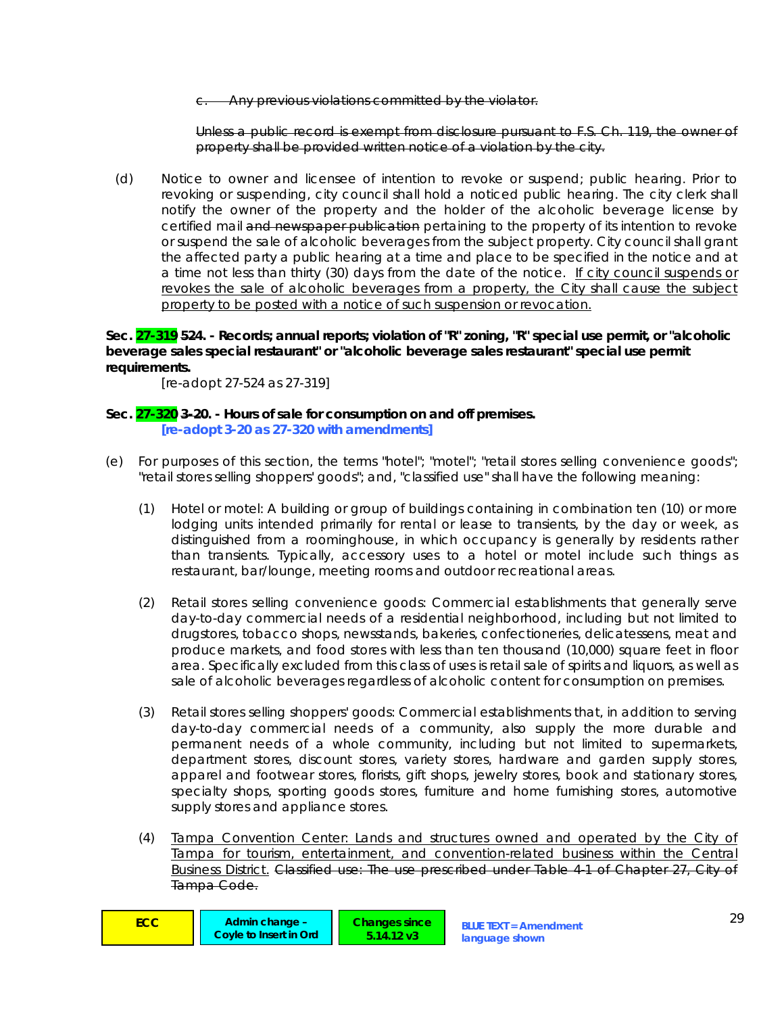Any previous violations committed by the violator.

Unless a public record is exempt from disclosure pursuant to F.S. Ch. 119, the owner of property shall be provided written notice of a violation by the city.

(d) *Notice to owner and licensee of intention to revoke or suspend; public hearing.* Prior to revoking or suspending, city council shall hold a noticed public hearing. The city clerk shall notify the owner of the property and the holder of the alcoholic beverage license by certified mail and newspaper publication pertaining to the property of its intention to revoke or suspend the sale of alcoholic beverages from the subject property. City council shall grant the affected party a public hearing at a time and place to be specified in the notice and at a time not less than thirty (30) days from the date of the notice. If city council suspends or revokes the sale of alcoholic beverages from a property, the City shall cause the subject property to be posted with a notice of such suspension or revocation.

**Sec. 27-319 524. - Records; annual reports; violation of "R" zoning, "R" special use permit, or "alcoholic beverage sales special restaurant" or "alcoholic beverage sales restaurant" special use permit requirements.** 

 *[re-adopt 27-524 as 27-319]* 

# **Sec. 27-320 3-20. - Hours of sale for consumption on and off premises.**   *[re-adopt 3-20 as 27-320 with amendments]*

- (e) For purposes of this section, the terms "hotel"; "motel"; "retail stores selling convenience goods"; "retail stores selling shoppers' goods"; and, "classified use" shall have the following meaning:
	- (1) *Hotel or motel:* A building or group of buildings containing in combination ten (10) or more lodging units intended primarily for rental or lease to transients, by the day or week, as distinguished from a roominghouse, in which occupancy is generally by residents rather than transients. Typically, accessory uses to a hotel or motel include such things as restaurant, bar/lounge, meeting rooms and outdoor recreational areas.
	- (2) *Retail stores selling convenience goods:* Commercial establishments that generally serve day-to-day commercial needs of a residential neighborhood, including but not limited to drugstores, tobacco shops, newsstands, bakeries, confectioneries, delicatessens, meat and produce markets, and food stores with less than ten thousand (10,000) square feet in floor area. Specifically excluded from this class of uses is retail sale of spirits and liquors, as well as sale of alcoholic beverages regardless of alcoholic content for consumption on premises.
	- (3) *Retail stores selling shoppers' goods:* Commercial establishments that, in addition to serving day-to-day commercial needs of a community, also supply the more durable and permanent needs of a whole community, including but not limited to supermarkets, department stores, discount stores, variety stores, hardware and garden supply stores, apparel and footwear stores, florists, gift shops, jewelry stores, book and stationary stores, specialty shops, sporting goods stores, furniture and home furnishing stores, automotive supply stores and appliance stores.
	- (4) *Tampa Convention Center:* Lands and structures owned and operated by the City of Tampa for tourism, entertainment, and convention-related business within the Central Business District. *Classified use:* The use prescribed under Table 4-1 of Chapter 27, City of Tampa Code.

| ECC. | Admin change -<br>Covie to Insert in Ord | <b>Changes since</b><br>5.14.12 v3 | <b>BLUE TEXT = Amendment</b><br>language shown | C |
|------|------------------------------------------|------------------------------------|------------------------------------------------|---|
|------|------------------------------------------|------------------------------------|------------------------------------------------|---|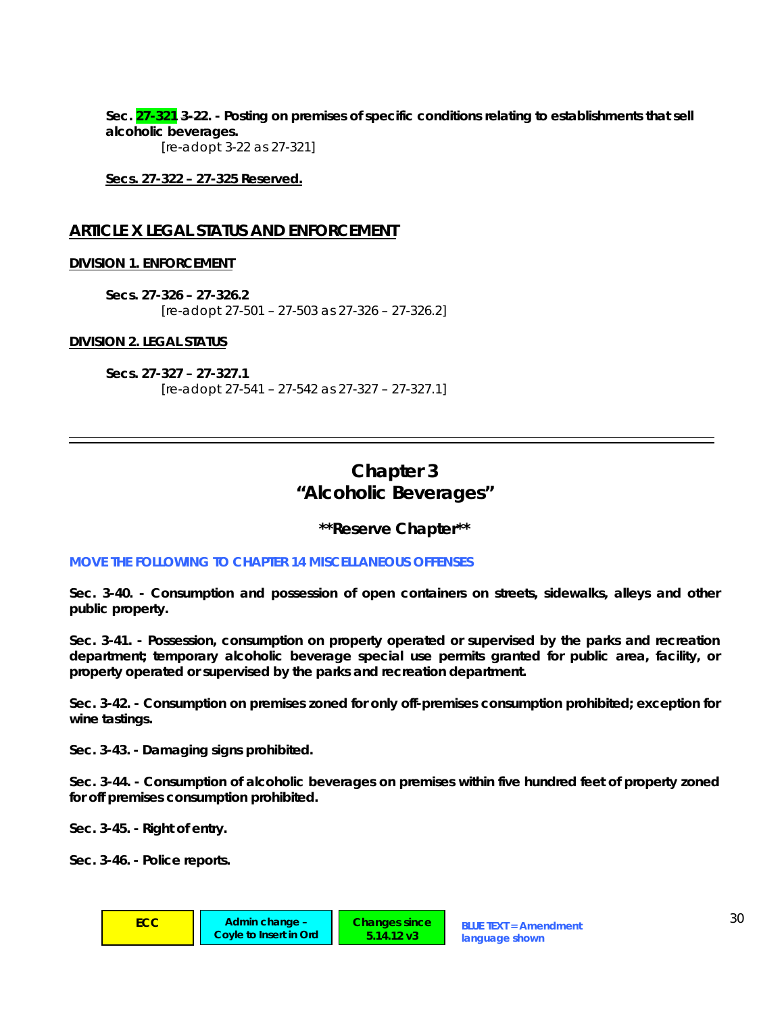**Sec. 27-321 3-22. - Posting on premises of specific conditions relating to establishments that sell alcoholic beverages.** 

 *[re-adopt 3-22 as 27-321]* 

**Secs. 27-322 – 27-325 Reserved.**

# **ARTICLE X LEGAL STATUS AND ENFORCEMENT**

# **DIVISION 1. ENFORCEMENT**

**Secs. 27-326 – 27-326.2**  *[re-adopt 27-501 – 27-503 as 27-326 – 27-326.2]* 

# **DIVISION 2. LEGAL STATUS**

**Secs. 27-327 – 27-327.1**  *[re-adopt 27-541 – 27-542 as 27-327 – 27-327.1]* 

# **Chapter 3 "Alcoholic Beverages"**

# **\*\*Reserve Chapter\*\***

## *MOVE THE FOLLOWING TO CHAPTER 14 MISCELLANEOUS OFFENSES*

**Sec. 3-40. - Consumption and possession of open containers on streets, sidewalks, alleys and other public property.** 

**Sec. 3-41. - Possession, consumption on property operated or supervised by the parks and recreation department; temporary alcoholic beverage special use permits granted for public area, facility, or property operated or supervised by the parks and recreation department.** 

**Sec. 3-42. - Consumption on premises zoned for only off-premises consumption prohibited; exception for wine tastings.** 

**Sec. 3-43. - Damaging signs prohibited.** 

**Sec. 3-44. - Consumption of alcoholic beverages on premises within five hundred feet of property zoned for off premises consumption prohibited.** 

**Sec. 3-45. - Right of entry.** 

**Sec. 3-46. - Police reports.**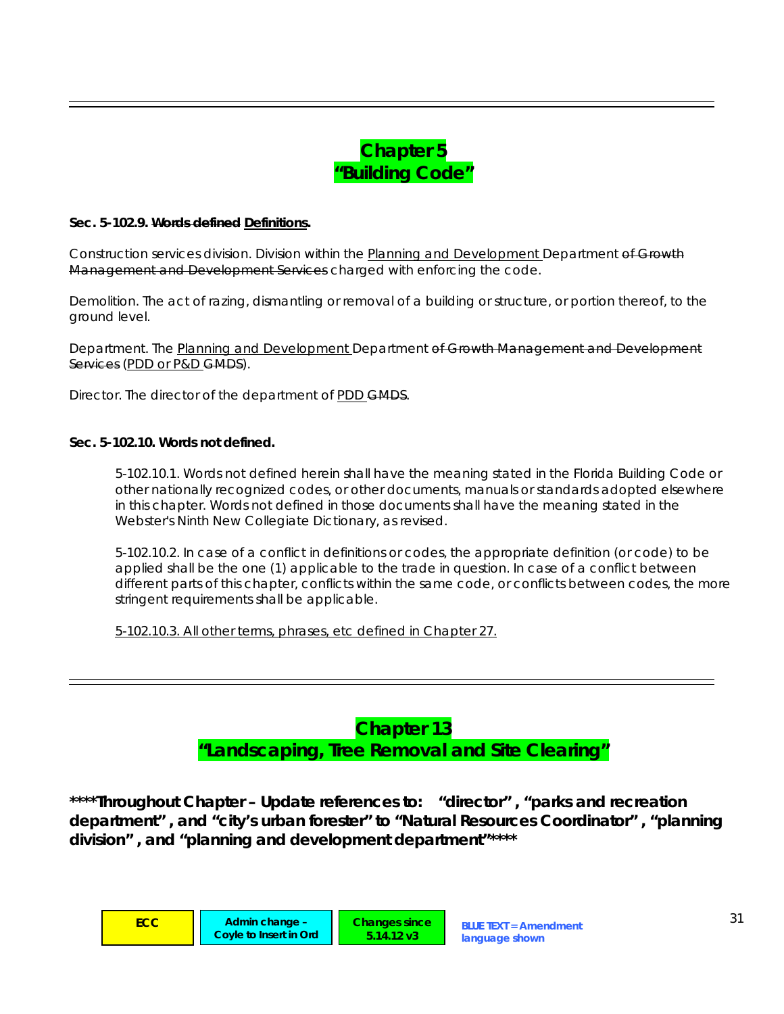# **Chapter 5 "Building Code"**

## **Sec. 5-102.9. Words defined Definitions.**

*Construction services division.* Division within the Planning and Development Department of Growth Management and Development Services charged with enforcing the code.

*Demolition.* The act of razing, dismantling or removal of a building or structure, or portion thereof, to the ground level.

*Department.* The Planning and Development Department of Growth Management and Development Services (PDD or P&D GMDS).

*Director.* The director of the department of PDD GMDS.

## **Sec. 5-102.10. Words not defined.**

*5-102.10.1.* Words not defined herein shall have the meaning stated in the Florida Building Code or other nationally recognized codes, or other documents, manuals or standards adopted elsewhere in this chapter. Words not defined in those documents shall have the meaning stated in the Webster's Ninth New Collegiate Dictionary, as revised.

*5-102.10.2.* In case of a conflict in definitions or codes, the appropriate definition (or code) to be applied shall be the one (1) applicable to the trade in question. In case of a conflict between different parts of this chapter, conflicts within the same code, or conflicts between codes, the more stringent requirements shall be applicable.

*5-102.10.3.* All other terms, phrases, etc defined in Chapter 27.

# **Chapter 13 "Landscaping, Tree Removal and Site Clearing"**

*\*\*\*\*Throughout Chapter – Update references to: "director" , "parks and recreation department" , and "city's urban forester" to "Natural Resources Coordinator" , "planning division" , and "planning and development department"\*\*\*\**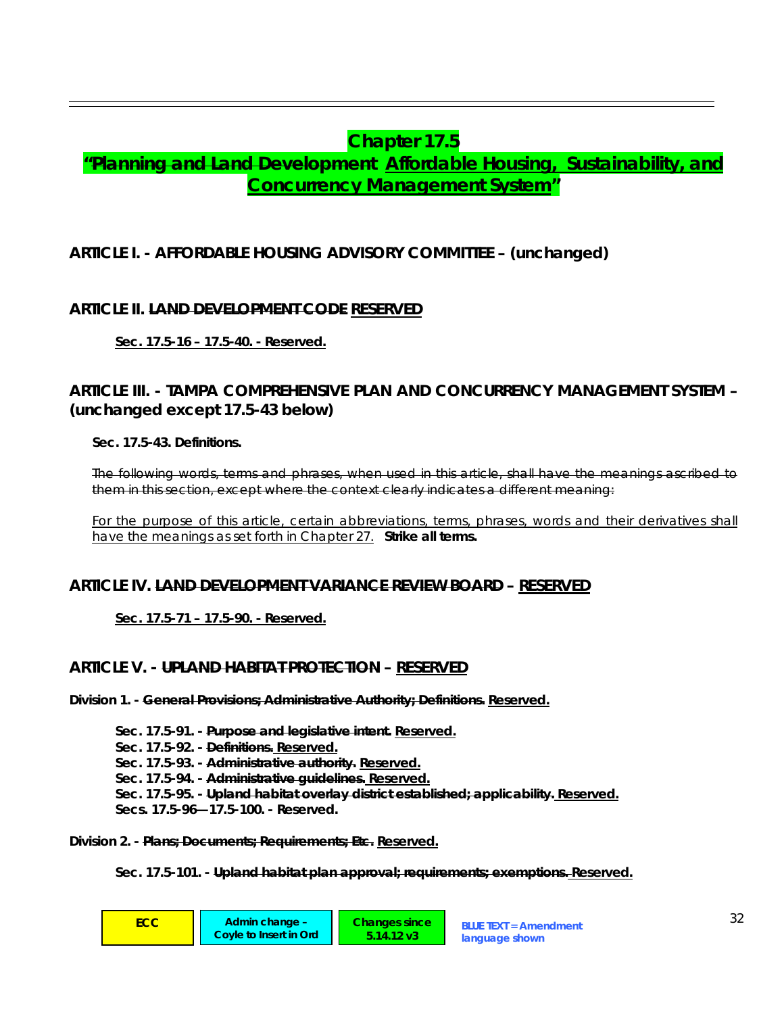# **Chapter 17.5**

# **"Planning and Land Development Affordable Housing, Sustainability, and Concurrency Management System"**

# **ARTICLE I. - AFFORDABLE HOUSING ADVISORY COMMITTEE – (unchanged)**

# **ARTICLE II. LAND DEVELOPMENT CODE RESERVED**

**Sec. 17.5-16 – 17.5-40. - Reserved.**

# **ARTICLE III. - TAMPA COMPREHENSIVE PLAN AND CONCURRENCY MANAGEMENT SYSTEM – (unchanged except 17.5-43 below)**

**Sec. 17.5-43. Definitions.** 

The following words, terms and phrases, when used in this article, shall have the meanings ascribed to them in this section, except where the context clearly indicates a different meaning:

For the purpose of this article, certain abbreviations, terms, phrases, words and their derivatives shall have the meanings as set forth in Chapter 27. **Strike all terms.**

# **ARTICLE IV. LAND DEVELOPMENT VARIANCE REVIEW BOARD – RESERVED**

**Sec. 17.5-71 – 17.5-90. - Reserved.**

# **ARTICLE V. - UPLAND HABITAT PROTECTION – RESERVED**

**Division 1. - General Provisions; Administrative Authority; Definitions. Reserved.**

**Sec. 17.5-91. - Purpose and legislative intent. Reserved. Sec. 17.5-92. - Definitions. Reserved. Sec. 17.5-93. - Administrative authority. Reserved. Sec. 17.5-94. - Administrative guidelines. Reserved. Sec. 17.5-95. - Upland habitat overlay district established; applicability. Reserved. Secs. 17.5-96—17.5-100. - Reserved.** 

**Division 2. - Plans; Documents; Requirements; Etc. Reserved.**

**Sec. 17.5-101. - Upland habitat plan approval; requirements; exemptions. Reserved.**

| ECC | Admin change -<br>Coyle to Insert in Ord | <b>Changes since</b><br>$5.14.12 \text{ v}3$ | <b>BLUE TEXT = Amendment</b><br>language shown | $\cap$ |
|-----|------------------------------------------|----------------------------------------------|------------------------------------------------|--------|
|-----|------------------------------------------|----------------------------------------------|------------------------------------------------|--------|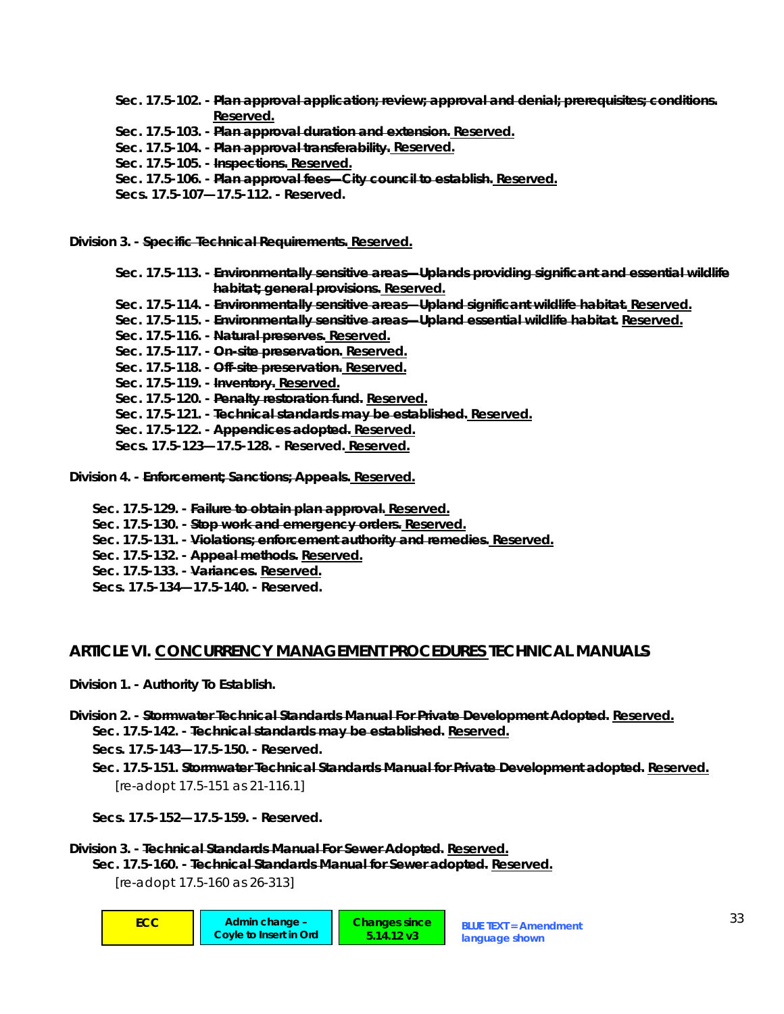**Sec. 17.5-102. - Plan approval application; review; approval and denial; prerequisites; conditions. Reserved.**

**Sec. 17.5-103. - Plan approval duration and extension. Reserved.**

**Sec. 17.5-104. - Plan approval transferability. Reserved.**

**Sec. 17.5-105. - Inspections. Reserved.**

**Sec. 17.5-106. - Plan approval fees—City council to establish. Reserved.**

**Secs. 17.5-107—17.5-112. - Reserved.** 

**Division 3. - Specific Technical Requirements. Reserved.**

**Sec. 17.5-113. - Environmentally sensitive areas—Uplands providing significant and essential wildlife habitat; general provisions. Reserved. Sec. 17.5-114. - Environmentally sensitive areas—Upland significant wildlife habitat. Reserved. Sec. 17.5-115. - Environmentally sensitive areas—Upland essential wildlife habitat. Reserved. Sec. 17.5-116. - Natural preserves. Reserved. Sec. 17.5-117. - On-site preservation. Reserved. Sec. 17.5-118. - Off-site preservation. Reserved. Sec. 17.5-119. - Inventory. Reserved. Sec. 17.5-120. - Penalty restoration fund. Reserved. Sec. 17.5-121. - Technical standards may be established. Reserved. Sec. 17.5-122. - Appendices adopted. Reserved. Secs. 17.5-123—17.5-128. - Reserved. Reserved.**

**Division 4. - Enforcement; Sanctions; Appeals. Reserved.**

- **Sec. 17.5-129. Failure to obtain plan approval. Reserved.**
- **Sec. 17.5-130. Stop work and emergency orders. Reserved.**
- **Sec. 17.5-131. Violations; enforcement authority and remedies. Reserved.**
- **Sec. 17.5-132. Appeal methods. Reserved.**
- **Sec. 17.5-133. Variances. Reserved.**
- **Secs. 17.5-134—17.5-140. Reserved.**

# **ARTICLE VI. CONCURRENCY MANAGEMENT PROCEDURES TECHNICAL MANUALS**

- **Division 1. Authority To Establish.**
- **Division 2. Stormwater Technical Standards Manual For Private Development Adopted. Reserved. Sec. 17.5-142. - Technical standards may be established. Reserved.**

**Secs. 17.5-143—17.5-150. - Reserved.** 

**Sec. 17.5-151. Stormwater Technical Standards Manual for Private Development adopted. Reserved.** *[re-adopt 17.5-151 as 21-116.1]* 

**Secs. 17.5-152—17.5-159. - Reserved.** 

| Division 3. - Technical Standards Manual For Sewer Adopted. Reserved.    |  |
|--------------------------------------------------------------------------|--|
| Sec. 17.5-160. - Technical Standards Manual for Sewer adopted. Reserved. |  |

*[re-adopt 17.5-160 as 26-313]*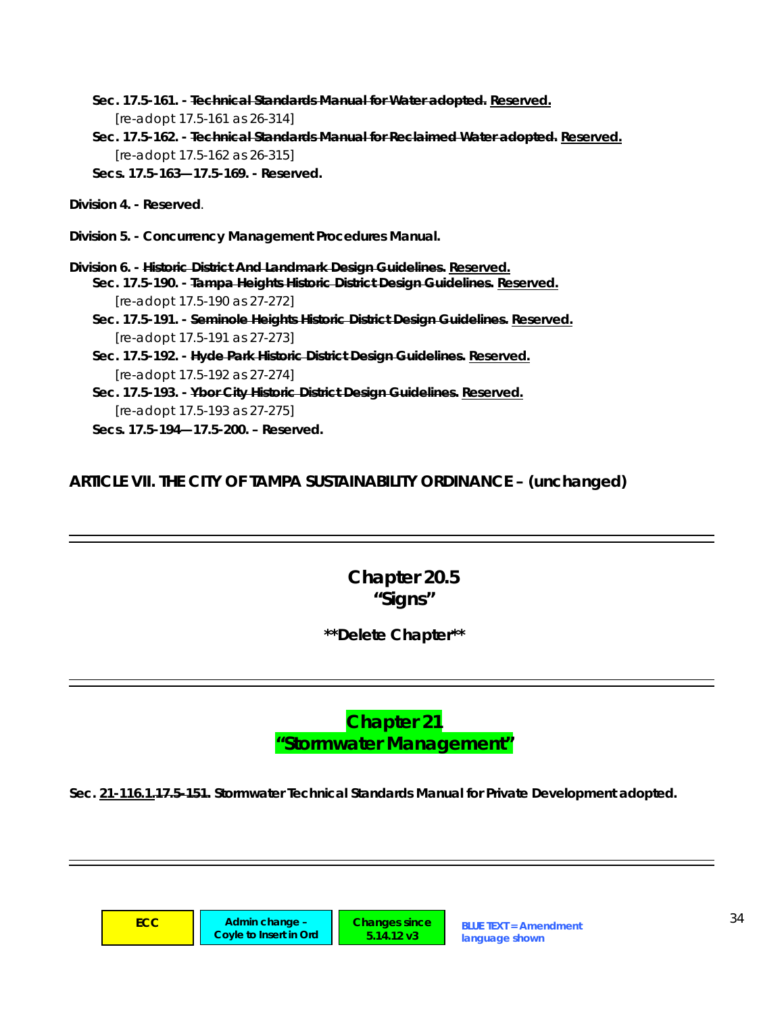- **Sec. 17.5-161. Technical Standards Manual for Water adopted. Reserved.** *[re-adopt 17.5-161 as 26-314]*
- **Sec. 17.5-162. Technical Standards Manual for Reclaimed Water adopted. Reserved.** *[re-adopt 17.5-162 as 26-315]*  **Secs. 17.5-163—17.5-169. - Reserved.**

**Division 4. - Reserved**.

- **Division 5. Concurrency Management Procedures Manual.**
- **Division 6. Historic District And Landmark Design Guidelines. Reserved. Sec. 17.5-190. - Tampa Heights Historic District Design Guidelines. Reserved.**  *[re-adopt 17.5-190 as 27-272]* 
	- **Sec. 17.5-191. Seminole Heights Historic District Design Guidelines. Reserved.**  *[re-adopt 17.5-191 as 27-273]*
	- **Sec. 17.5-192. Hyde Park Historic District Design Guidelines. Reserved.**  *[re-adopt 17.5-192 as 27-274]*
	- **Sec. 17.5-193. Ybor City Historic District Design Guidelines. Reserved.**  *[re-adopt 17.5-193 as 27-275]*
	- **Secs. 17.5-194—17.5-200. Reserved.**

**ARTICLE VII. THE CITY OF TAMPA SUSTAINABILITY ORDINANCE – (unchanged)** 

# **Chapter 20.5 "Signs"**

**\*\*Delete Chapter\*\*** 

**Chapter 21 "Stormwater Management"** 

**Sec. 21-116.1.17.5-151. Stormwater Technical Standards Manual for Private Development adopted.**